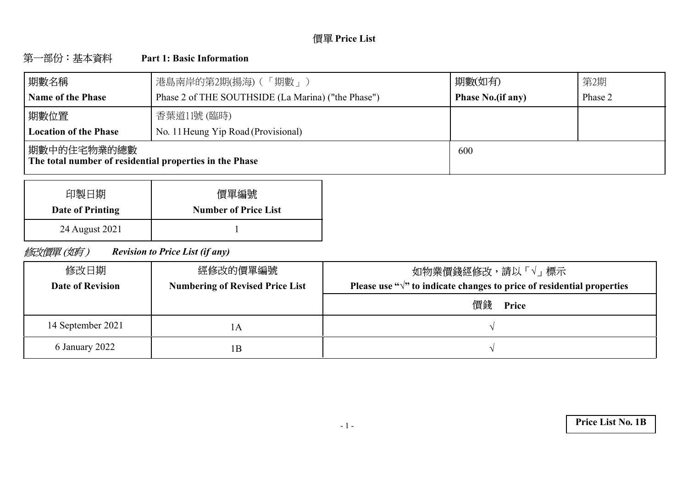# **Price List**

#### 第一部份:基本資料 **Part 1: Basic Information**

| 期數名稱                                                                    | 港島南岸的第2期(揚海) (「期數」)                                | 期數(如有)                   | 第2期     |
|-------------------------------------------------------------------------|----------------------------------------------------|--------------------------|---------|
| <b>Name of the Phase</b>                                                | Phase 2 of THE SOUTHSIDE (La Marina) ("the Phase") | <b>Phase No.(if any)</b> | Phase 2 |
| 期數位置                                                                    | 香葉道11號 (臨時)                                        |                          |         |
| Location of the Phase                                                   | No. 11 Heung Yip Road (Provisional)                |                          |         |
| 期數中的住宅物業的總數 <br>The total number of residential properties in the Phase |                                                    | 600                      |         |

| 印製日期             | 價單編號                        |
|------------------|-----------------------------|
| Date of Printing | <b>Number of Price List</b> |
| 24 August 2021   |                             |

修改價單(如有) *Revision to Price List (if any)*

| 修改日期                    | 經修改的價單編號                               | 如物業價錢經修改,請以「√」標示                                                                  |
|-------------------------|----------------------------------------|-----------------------------------------------------------------------------------|
| <b>Date of Revision</b> | <b>Numbering of Revised Price List</b> | Please use " $\sqrt{\ }$ " to indicate changes to price of residential properties |
|                         |                                        | 價錢<br>Price                                                                       |
| 14 September 2021       | ΙA                                     |                                                                                   |
| 6 January 2022          | 1Β                                     |                                                                                   |

**Price List No. 1B**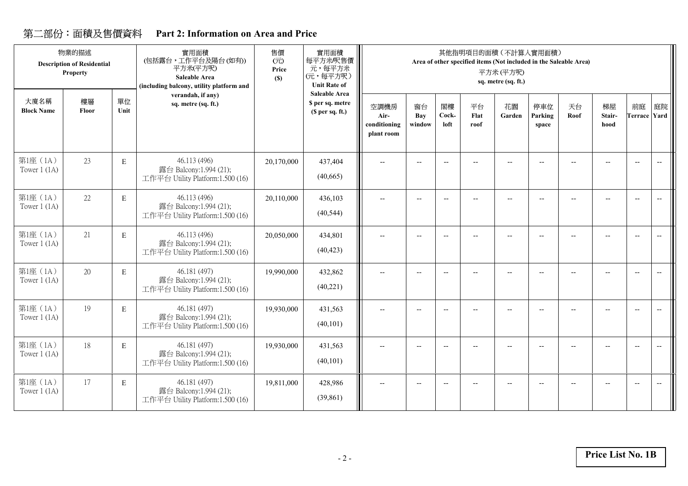# **Part 2: Information on Area and Price**

|                            | 物業的描述<br><b>Description of Residential</b><br><b>Property</b> |             | 實用面積<br>(包括露台,工作平台及陽台(如有))<br>平方米(平方呎)<br>Saleable Area<br>(including balcony, utility platform and | 售價<br>(元)<br>Price<br>(S) | 實用面積<br>每平方米/呎售價<br>元,每平方米<br>(元,每平方呎)<br><b>Unit Rate of</b> |                                            |                          |                          |                          | 其他指明項目的面積 (不計算入實用面積)<br>Area of other specified items (Not included in the Saleable Area)<br>平方米(平方呎)<br>sq. metre (sq. ft.) |                          |            |                          |                           |                          |
|----------------------------|---------------------------------------------------------------|-------------|-----------------------------------------------------------------------------------------------------|---------------------------|---------------------------------------------------------------|--------------------------------------------|--------------------------|--------------------------|--------------------------|------------------------------------------------------------------------------------------------------------------------------|--------------------------|------------|--------------------------|---------------------------|--------------------------|
| 大廈名稱<br><b>Block Name</b>  | 樓層<br>Floor                                                   | 單位<br>Unit  | verandah, if any)<br>sq. metre (sq. ft.)                                                            |                           | <b>Saleable Area</b><br>\$ per sq. metre<br>(S per sq. ft.)   | 空調機房<br>Air-<br>conditioning<br>plant room | 窗台<br>Bay<br>window      | 閣樓<br>Cock-<br>loft      | 平台<br>Flat<br>roof       | 花園<br>Garden                                                                                                                 | 停車位<br>Parking<br>space  | 天台<br>Roof | 梯屋<br>Stair-<br>hood     | 前庭<br><b>Terrace Yard</b> | 庭院                       |
| 第1座 (1A)<br>Tower $1$ (1A) | 23                                                            | E           | 46.113 (496)<br>露台 Balcony:1.994 (21);<br>工作平台 Utility Platform:1.500 (16)                          | 20,170,000                | 437,404<br>(40,665)                                           | --                                         |                          | $-$                      |                          | $-$                                                                                                                          |                          |            |                          | $\overline{\phantom{a}}$  | $\overline{\phantom{a}}$ |
| 第1座 (1A)<br>Tower $1(1A)$  | 22                                                            | ${\bf E}$   | 46.113 (496)<br>露台 Balcony:1.994 (21);<br>工作平台 Utility Platform:1.500 (16)                          | 20,110,000                | 436,103<br>(40, 544)                                          | $-$                                        | $\overline{\phantom{a}}$ | $\overline{\phantom{a}}$ | $\overline{\phantom{a}}$ | $-$                                                                                                                          | $\overline{\phantom{a}}$ |            |                          | $\overline{\phantom{a}}$  | $\overline{\phantom{a}}$ |
| 第1座 (1A)<br>Tower $1(1A)$  | 21                                                            | $\mathbf E$ | 46.113 (496)<br>露台 Balcony:1.994 (21);<br>工作平台 Utility Platform:1.500 (16)                          | 20,050,000                | 434,801<br>(40, 423)                                          | --                                         |                          | $\overline{a}$           |                          | $-$                                                                                                                          | $\overline{a}$           |            |                          | $\overline{\phantom{a}}$  |                          |
| 第1座 (1A)<br>Tower $1(1A)$  | 20                                                            | $\mathbf E$ | 46.181 (497)<br>露台 Balcony:1.994 (21);<br>工作平台 Utility Platform:1.500 (16)                          | 19,990,000                | 432,862<br>(40,221)                                           | $-$                                        | $\overline{\phantom{a}}$ | $-$                      | $\overline{a}$           | $-$                                                                                                                          | $\overline{\phantom{a}}$ |            | $\overline{\phantom{a}}$ | $\overline{\phantom{a}}$  | $\overline{\phantom{a}}$ |
| 第1座 (1A)<br>Tower $1$ (1A) | 19                                                            | E           | 46.181 (497)<br>露台 Balcony:1.994 (21);<br>工作平台 Utility Platform:1.500 (16)                          | 19,930,000                | 431,563<br>(40, 101)                                          | --                                         | $\overline{a}$           | $\overline{\phantom{a}}$ |                          |                                                                                                                              | $\overline{\phantom{a}}$ |            |                          | $\overline{\phantom{a}}$  | $\overline{\phantom{a}}$ |
| 第1座 (1A)<br>Tower $1(1A)$  | 18                                                            | E           | 46.181 (497)<br>露台 Balcony:1.994 (21);<br>工作平台 Utility Platform:1.500 (16)                          | 19,930,000                | 431,563<br>(40, 101)                                          | $-$                                        | $\overline{a}$           | $-$                      |                          |                                                                                                                              |                          |            |                          | $\overline{\phantom{a}}$  |                          |
| 第1座 (1A)<br>Tower $1$ (1A) | 17                                                            | E           | 46.181 (497)<br>露台 Balcony:1.994 (21);<br>工作平台 Utility Platform:1.500 (16)                          | 19,811,000                | 428,986<br>(39, 861)                                          | --                                         |                          | $-$                      |                          | --                                                                                                                           | $\overline{a}$           |            |                          | $\overline{\phantom{a}}$  |                          |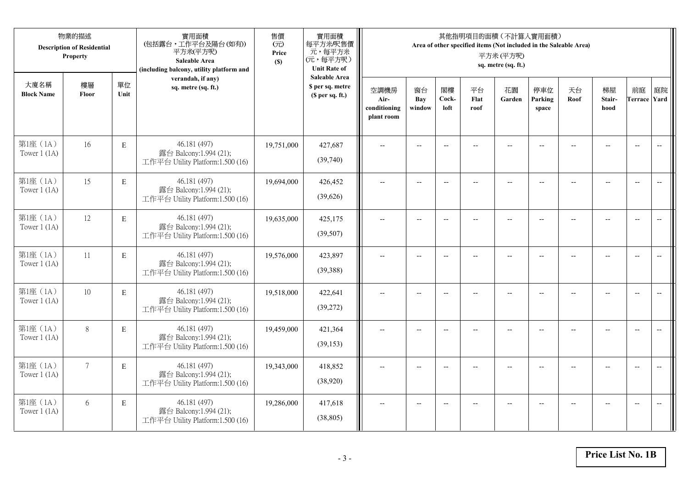|                            | 物業的描述<br><b>Description of Residential</b><br>Property |             | 實用面積<br>(包括露台,工作平台及陽台(如有))<br>平方米(平方呎)<br>Saleable Area<br>(including balcony, utility platform and | 售價<br>(元)<br>Price<br>(S) | 實用面積<br>每平方米/呎售價<br>元,每平方米<br>(元,每平方呎)<br><b>Unit Rate of</b>          |                                            |                          |                          |                          | 其他指明項目的面積 (不計算入實用面積)<br>Area of other specified items (Not included in the Saleable Area)<br>平方米(平方呎)<br>sq. metre (sq. ft.) |                          |                |                          |                           |                          |
|----------------------------|--------------------------------------------------------|-------------|-----------------------------------------------------------------------------------------------------|---------------------------|------------------------------------------------------------------------|--------------------------------------------|--------------------------|--------------------------|--------------------------|------------------------------------------------------------------------------------------------------------------------------|--------------------------|----------------|--------------------------|---------------------------|--------------------------|
| 大廈名稱<br><b>Block Name</b>  | 樓層<br>Floor                                            | 單位<br>Unit  | verandah, if any)<br>sq. metre (sq. ft.)                                                            |                           | <b>Saleable Area</b><br>\$ per sq. metre<br>(S <sub>per</sub> sq. ft.) | 空調機房<br>Air-<br>conditioning<br>plant room | 窗台<br>Bay<br>window      | 閣樓<br>Cock-<br>loft      | 平台<br>Flat<br>roof       | 花園<br>Garden                                                                                                                 | 停車位<br>Parking<br>space  | 天台<br>Roof     | 梯屋<br>Stair-<br>hood     | 前庭<br><b>Terrace Yard</b> | 庭院                       |
| 第1座 (1A)<br>Tower $1$ (1A) | 16                                                     | $\mathbf E$ | 46.181 (497)<br>露台 Balcony:1.994 (21);<br>工作平台 Utility Platform:1.500 (16)                          | 19,751,000                | 427,687<br>(39,740)                                                    |                                            |                          | $\overline{a}$           |                          |                                                                                                                              |                          |                |                          | $\overline{a}$            | $\overline{\phantom{a}}$ |
| 第1座 (1A)<br>Tower $1$ (1A) | 15                                                     | $\mathbf E$ | 46.181 (497)<br>露台 Balcony:1.994 (21);<br>工作平台 Utility Platform:1.500 (16)                          | 19,694,000                | 426,452<br>(39,626)                                                    | $\overline{\phantom{a}}$                   | $\overline{\phantom{a}}$ | $\overline{a}$           | $\overline{a}$           | $\overline{\phantom{m}}$                                                                                                     | $-$                      |                | $\overline{a}$           | $-$                       |                          |
| 第1座 (1A)<br>Tower $1$ (1A) | 12                                                     | $\mathbf E$ | 46.181 (497)<br>露台 Balcony:1.994 (21);<br>工作平台 Utility Platform:1.500 (16)                          | 19,635,000                | 425,175<br>(39,507)                                                    |                                            | $\overline{\phantom{a}}$ | $-$                      | $-$                      | $-$                                                                                                                          |                          |                | $\overline{\phantom{a}}$ | $\overline{\phantom{a}}$  |                          |
| 第1座 (1A)<br>Tower $1(1A)$  | 11                                                     | $\mathbf E$ | 46.181 (497)<br>露台 Balcony:1.994 (21);<br>工作平台 Utility Platform:1.500 (16)                          | 19,576,000                | 423,897<br>(39, 388)                                                   | $-$                                        | $\overline{\phantom{a}}$ | $\overline{\phantom{a}}$ | $\overline{\phantom{a}}$ | $-$                                                                                                                          | $\overline{\phantom{a}}$ | $\overline{a}$ | --                       | $-$                       | $\overline{\phantom{m}}$ |
| 第1座 (1A)<br>Tower $1(1A)$  | 10                                                     | $\mathbf E$ | 46.181 (497)<br>露台 Balcony:1.994 (21);<br>工作平台 Utility Platform:1.500 (16)                          | 19,518,000                | 422,641<br>(39, 272)                                                   | $\sim$                                     | $\overline{a}$           | $\overline{a}$           | $\overline{a}$           | $\overline{\phantom{a}}$                                                                                                     | $\overline{a}$           |                | $\overline{a}$           | $\overline{\phantom{a}}$  | $\overline{\phantom{a}}$ |
| 第1座 (1A)<br>Tower $1(1A)$  | $8\,$                                                  | E           | 46.181 (497)<br>露台 Balcony:1.994 (21);<br>工作平台 Utility Platform:1.500 (16)                          | 19,459,000                | 421,364<br>(39, 153)                                                   | $\overline{\phantom{a}}$                   | $\overline{a}$           | $-$                      |                          | $-$                                                                                                                          | $-$                      | $-$            | $\overline{a}$           | $\overline{\phantom{a}}$  | $\sim$                   |
| 第1座 (1A)<br>Tower $1$ (1A) | $\overline{7}$                                         | E           | 46.181 (497)<br>露台 Balcony:1.994 (21);<br>工作平台 Utility Platform:1.500 (16)                          | 19,343,000                | 418,852<br>(38,920)                                                    |                                            |                          |                          |                          |                                                                                                                              |                          |                |                          | $\overline{\phantom{a}}$  | $\overline{\phantom{a}}$ |
| 第1座 (1A)<br>Tower $1$ (1A) | 6                                                      | $\mathbf E$ | 46.181 (497)<br>露台 Balcony:1.994 (21);<br>工作平台 Utility Platform:1.500 (16)                          | 19,286,000                | 417,618<br>(38, 805)                                                   | $\overline{\phantom{a}}$                   | $-$                      | $-$                      |                          | $\overline{a}$                                                                                                               | $-$                      |                | $-$                      | $-$                       | $\overline{\phantom{a}}$ |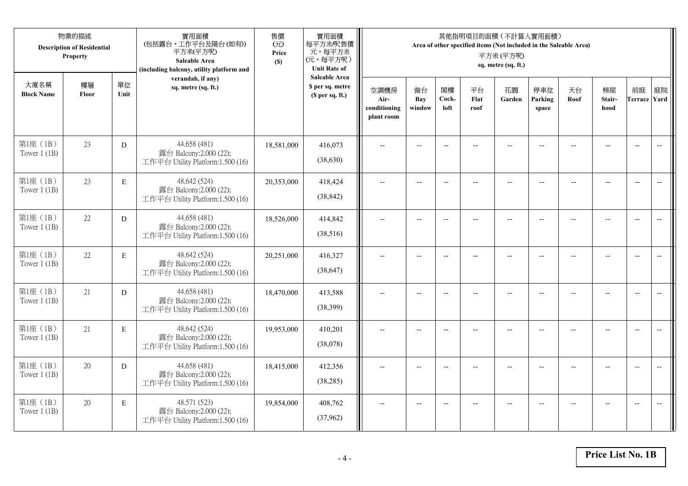|                            | 物業的描述<br><b>Description of Residential</b><br>Property |             | 實用面積<br>(包括露台,工作平台及陽台(如有))<br>平方米(平方呎)<br>Saleable Area<br>(including balcony, utility platform and | 售價<br>(元)<br>Price<br>(S) | 實用面積<br>每平方米/呎售價<br>元,每平方米<br>(元,每平方呎)<br><b>Unit Rate of</b>          |                                            |                          |                          |                          | 其他指明項目的面積 (不計算入實用面積)<br>Area of other specified items (Not included in the Saleable Area)<br>平方米(平方呎)<br>sq. metre (sq. ft.) |                          |                |                          |                           |                          |
|----------------------------|--------------------------------------------------------|-------------|-----------------------------------------------------------------------------------------------------|---------------------------|------------------------------------------------------------------------|--------------------------------------------|--------------------------|--------------------------|--------------------------|------------------------------------------------------------------------------------------------------------------------------|--------------------------|----------------|--------------------------|---------------------------|--------------------------|
| 大廈名稱<br><b>Block Name</b>  | 樓層<br>Floor                                            | 單位<br>Unit  | verandah, if any)<br>sq. metre (sq. ft.)                                                            |                           | <b>Saleable Area</b><br>\$ per sq. metre<br>(S <sub>per</sub> sq. ft.) | 空調機房<br>Air-<br>conditioning<br>plant room | 窗台<br>Bay<br>window      | 閣樓<br>Cock-<br>loft      | 平台<br>Flat<br>roof       | 花園<br>Garden                                                                                                                 | 停車位<br>Parking<br>space  | 天台<br>Roof     | 梯屋<br>Stair-<br>hood     | 前庭<br><b>Terrace Yard</b> | 庭院                       |
| 第1座 (1B)<br>Tower $1$ (1B) | 23                                                     | D           | 44.658 (481)<br>露台 Balcony:2.000 (22);<br>工作平台 Utility Platform:1.500 (16)                          | 18,581,000                | 416,073<br>(38,630)                                                    |                                            |                          | $\overline{a}$           |                          |                                                                                                                              |                          |                |                          | $\overline{a}$            | $\overline{\phantom{a}}$ |
| 第1座 (1B)<br>Tower $1$ (1B) | 23                                                     | $\mathbf E$ | 48.642 (524)<br>露台 Balcony:2.000 (22);<br>工作平台 Utility Platform:1.500 (16)                          | 20,353,000                | 418,424<br>(38, 842)                                                   | $\overline{\phantom{a}}$                   | $\overline{\phantom{a}}$ | $\overline{a}$           | $\overline{a}$           | $\overline{a}$                                                                                                               | $-$                      | $-$            | $\overline{a}$           | $-$                       | $\overline{\phantom{m}}$ |
| 第1座 (1B)<br>Tower $1$ (1B) | 22                                                     | D           | 44.658 (481)<br>露台 Balcony:2.000 (22);<br>工作平台 Utility Platform:1.500 (16)                          | 18,526,000                | 414,842<br>(38,516)                                                    |                                            | $\overline{\phantom{a}}$ | $-$                      | $-$                      | $-$                                                                                                                          | --                       |                | $\overline{\phantom{a}}$ | $\overline{\phantom{a}}$  |                          |
| 第1座 (1B)<br>Tower $1$ (1B) | 22                                                     | $\mathbf E$ | 48.642 (524)<br>露台 Balcony:2.000 (22);<br>工作平台 Utility Platform:1.500 (16)                          | 20,251,000                | 416,327<br>(38, 647)                                                   | $-$                                        | $\overline{\phantom{a}}$ | $\overline{\phantom{a}}$ | $\overline{\phantom{a}}$ | $-$                                                                                                                          | $\overline{\phantom{a}}$ | $\overline{a}$ | --                       | $-$                       | $\overline{\phantom{m}}$ |
| 第1座 (1B)<br>Tower $1(1B)$  | 21                                                     | ${\rm D}$   | 44.658 (481)<br>露台 Balcony:2.000 (22);<br>工作平台 Utility Platform:1.500 (16)                          | 18,470,000                | 413,588<br>(38, 399)                                                   | $\sim$                                     | $\overline{a}$           | $\overline{a}$           | $\overline{a}$           | $\overline{\phantom{a}}$                                                                                                     | $\overline{a}$           |                | $\overline{a}$           | $\overline{\phantom{a}}$  | $\overline{\phantom{a}}$ |
| 第1座 (1B)<br>Tower $1$ (1B) | 21                                                     | E           | 48.642 (524)<br>露台 Balcony:2.000 (22);<br>工作平台 Utility Platform:1.500 (16)                          | 19,953,000                | 410,201<br>(38,078)                                                    | $\overline{\phantom{a}}$                   | $\overline{a}$           | $\overline{\phantom{a}}$ |                          | $-$                                                                                                                          | $-$                      | $-$            | $\overline{a}$           | $\overline{\phantom{a}}$  | $\sim$                   |
| 第1座 (1B)<br>Tower $1(1B)$  | 20                                                     | D           | 44.658 (481)<br>露台 Balcony:2.000 (22);<br>工作平台 Utility Platform:1.500 (16)                          | 18,415,000                | 412,356<br>(38, 285)                                                   |                                            |                          |                          |                          |                                                                                                                              |                          |                |                          | $\overline{\phantom{a}}$  | $\overline{\phantom{a}}$ |
| 第1座 (1B)<br>Tower $1$ (1B) | 20                                                     | $\mathbf E$ | 48.571 (523)<br>露台 Balcony:2.000 (22);<br>工作平台 Utility Platform:1.500 (16)                          | 19,854,000                | 408,762<br>(37,962)                                                    | $\overline{\phantom{a}}$                   | $-$                      | $\overline{\phantom{a}}$ |                          | $\overline{a}$                                                                                                               | $-$                      |                | $-$                      | $-$                       | $\overline{\phantom{a}}$ |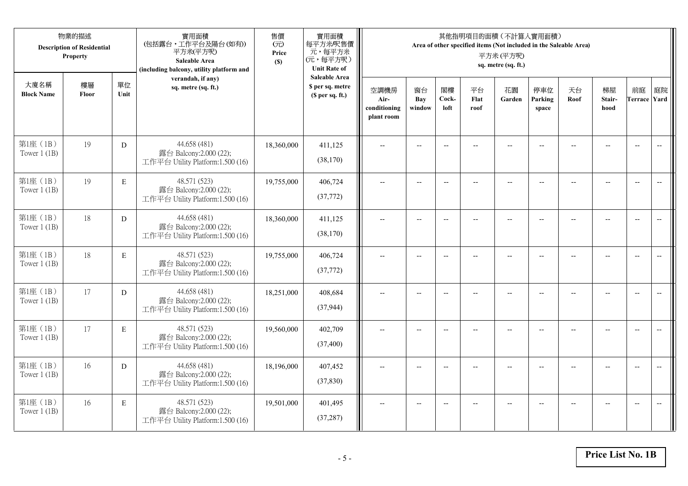|                            | 物業的描述<br><b>Description of Residential</b><br>Property |             | 實用面積<br>(包括露台,工作平台及陽台(如有))<br>平方米(平方呎)<br>Saleable Area<br>(including balcony, utility platform and | 售價<br>(元)<br>Price<br>(S) | 實用面積<br>每平方米/呎售價<br>元,每平方米<br>(元,每平方呎)<br><b>Unit Rate of</b>          |                                            |                          |                          |                          | 其他指明項目的面積 (不計算入實用面積)<br>Area of other specified items (Not included in the Saleable Area)<br>平方米(平方呎)<br>sq. metre (sq. ft.) |                          |                |                          |                           |                          |
|----------------------------|--------------------------------------------------------|-------------|-----------------------------------------------------------------------------------------------------|---------------------------|------------------------------------------------------------------------|--------------------------------------------|--------------------------|--------------------------|--------------------------|------------------------------------------------------------------------------------------------------------------------------|--------------------------|----------------|--------------------------|---------------------------|--------------------------|
| 大廈名稱<br><b>Block Name</b>  | 樓層<br>Floor                                            | 單位<br>Unit  | verandah, if any)<br>sq. metre (sq. ft.)                                                            |                           | <b>Saleable Area</b><br>\$ per sq. metre<br>(S <sub>per</sub> sq. ft.) | 空調機房<br>Air-<br>conditioning<br>plant room | 窗台<br>Bay<br>window      | 閣樓<br>Cock-<br>loft      | 平台<br>Flat<br>roof       | 花園<br>Garden                                                                                                                 | 停車位<br>Parking<br>space  | 天台<br>Roof     | 梯屋<br>Stair-<br>hood     | 前庭<br><b>Terrace Yard</b> | 庭院                       |
| 第1座 (1B)<br>Tower $1$ (1B) | 19                                                     | D           | 44.658 (481)<br>露台 Balcony:2.000 (22);<br>工作平台 Utility Platform:1.500 (16)                          | 18,360,000                | 411,125<br>(38,170)                                                    |                                            |                          | $\overline{\phantom{a}}$ |                          |                                                                                                                              |                          |                |                          | $\overline{a}$            | $\overline{\phantom{a}}$ |
| 第1座 (1B)<br>Tower $1$ (1B) | 19                                                     | $\mathbf E$ | 48.571 (523)<br>露台 Balcony:2.000 (22);<br>工作平台 Utility Platform:1.500 (16)                          | 19,755,000                | 406,724<br>(37, 772)                                                   | $\overline{\phantom{a}}$                   | $\overline{\phantom{a}}$ | $\overline{\phantom{a}}$ | $-$                      | $\overline{\phantom{a}}$                                                                                                     | $-$                      | $-$            | $\overline{a}$           | $-$                       | $\overline{\phantom{m}}$ |
| 第1座 (1B)<br>Tower $1$ (1B) | 18                                                     | D           | 44.658 (481)<br>露台 Balcony:2.000 (22);<br>工作平台 Utility Platform:1.500 (16)                          | 18,360,000                | 411,125<br>(38,170)                                                    |                                            | $\overline{\phantom{a}}$ | $-$                      | $-$                      | $-$                                                                                                                          | --                       |                | $\overline{\phantom{a}}$ | $\overline{\phantom{a}}$  |                          |
| 第1座 (1B)<br>Tower $1$ (1B) | 18                                                     | $\mathbf E$ | 48.571 (523)<br>露台 Balcony:2.000 (22);<br>工作平台 Utility Platform:1.500 (16)                          | 19,755,000                | 406,724<br>(37,772)                                                    | $-$                                        | $\overline{\phantom{a}}$ | $\overline{\phantom{a}}$ | $\overline{\phantom{a}}$ | $-$                                                                                                                          | $\overline{\phantom{a}}$ | $\overline{a}$ | --                       | $-$                       | $\overline{\phantom{m}}$ |
| 第1座 (1B)<br>Tower $1(1B)$  | 17                                                     | D           | 44.658 (481)<br>露台 Balcony:2.000 (22);<br>工作平台 Utility Platform:1.500 (16)                          | 18,251,000                | 408,684<br>(37, 944)                                                   | $\sim$                                     | $\overline{a}$           | $\overline{a}$           | $\sim$                   | $-$                                                                                                                          | $\overline{a}$           |                | $\overline{a}$           | $\overline{\phantom{a}}$  | $\overline{\phantom{a}}$ |
| 第1座 (1B)<br>Tower $1$ (1B) | 17                                                     | $\mathbf E$ | 48.571 (523)<br>露台 Balcony:2.000 (22);<br>工作平台 Utility Platform:1.500 (16)                          | 19,560,000                | 402,709<br>(37, 400)                                                   | $\overline{\phantom{a}}$                   | $\overline{a}$           | $-$                      |                          | $-$                                                                                                                          | $-$                      | $-$            | $\overline{a}$           | $\overline{\phantom{a}}$  | $\sim$                   |
| 第1座 (1B)<br>Tower $1(1B)$  | 16                                                     | D           | 44.658 (481)<br>露台 Balcony:2.000 (22);<br>工作平台 Utility Platform:1.500 (16)                          | 18,196,000                | 407,452<br>(37, 830)                                                   |                                            |                          |                          |                          |                                                                                                                              |                          |                |                          | $\overline{\phantom{a}}$  | $\overline{\phantom{a}}$ |
| 第1座 (1B)<br>Tower $1$ (1B) | 16                                                     | $\mathbf E$ | 48.571 (523)<br>露台 Balcony:2.000 (22);<br>工作平台 Utility Platform:1.500 (16)                          | 19,501,000                | 401,495<br>(37, 287)                                                   | $\overline{\phantom{a}}$                   | $-$                      | $-$                      |                          | $\overline{a}$                                                                                                               | $-$                      |                | $-$                      | $-$                       | $\overline{\phantom{a}}$ |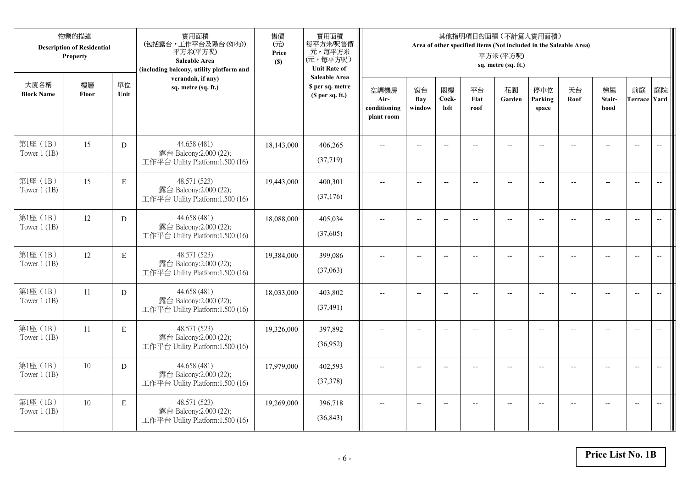|                            | 物業的描述<br><b>Description of Residential</b><br>Property |             | 實用面積<br>(包括露台,工作平台及陽台(如有))<br>平方米(平方呎)<br>Saleable Area<br>(including balcony, utility platform and | 售價<br>(元)<br>Price<br>(S) | 實用面積<br>每平方米/呎售價<br>元,每平方米<br>(元,每平方呎)<br><b>Unit Rate of</b>          |                                            |                          |                          |                    | 其他指明項目的面積 (不計算入實用面積)<br>Area of other specified items (Not included in the Saleable Area)<br>平方米(平方呎)<br>sq. metre (sq. ft.) |                          |                |                          |                           |                          |
|----------------------------|--------------------------------------------------------|-------------|-----------------------------------------------------------------------------------------------------|---------------------------|------------------------------------------------------------------------|--------------------------------------------|--------------------------|--------------------------|--------------------|------------------------------------------------------------------------------------------------------------------------------|--------------------------|----------------|--------------------------|---------------------------|--------------------------|
| 大廈名稱<br><b>Block Name</b>  | 樓層<br>Floor                                            | 單位<br>Unit  | verandah, if any)<br>sq. metre (sq. ft.)                                                            |                           | <b>Saleable Area</b><br>\$ per sq. metre<br>(S <sub>per</sub> sq. ft.) | 空調機房<br>Air-<br>conditioning<br>plant room | 窗台<br>Bay<br>window      | 閣樓<br>Cock-<br>loft      | 平台<br>Flat<br>roof | 花園<br>Garden                                                                                                                 | 停車位<br>Parking<br>space  | 天台<br>Roof     | 梯屋<br>Stair-<br>hood     | 前庭<br><b>Terrace Yard</b> | 庭院                       |
| 第1座 (1B)<br>Tower $1$ (1B) | 15                                                     | D           | 44.658 (481)<br>露台 Balcony:2.000 (22);<br>工作平台 Utility Platform:1.500 (16)                          | 18,143,000                | 406,265<br>(37,719)                                                    |                                            |                          | $-$                      |                    |                                                                                                                              |                          |                |                          | $\overline{\phantom{a}}$  | $\overline{\phantom{a}}$ |
| 第1座 (1B)<br>Tower $1$ (1B) | 15                                                     | $\mathbf E$ | 48.571 (523)<br>露台 Balcony:2.000 (22);<br>工作平台 Utility Platform:1.500 (16)                          | 19,443,000                | 400,301<br>(37,176)                                                    | $\overline{a}$                             | $\overline{\phantom{a}}$ | $\overline{\phantom{a}}$ | --                 | $\overline{\phantom{a}}$                                                                                                     | $-$                      |                | $-$                      | $\overline{a}$            | $-$                      |
| 第1座 (1B)<br>Tower $1$ (1B) | 12                                                     | D           | 44.658 (481)<br>露台 Balcony:2.000 (22);<br>工作平台 Utility Platform:1.500 (16)                          | 18,088,000                | 405,034<br>(37,605)                                                    |                                            | $\overline{a}$           | $-$                      | $\overline{a}$     | $\overline{a}$                                                                                                               |                          |                |                          | $\overline{a}$            |                          |
| 第1座 (1B)<br>Tower $1(1B)$  | 12                                                     | $\mathbf E$ | 48.571 (523)<br>露台 Balcony:2.000 (22);<br>工作平台 Utility Platform:1.500 (16)                          | 19,384,000                | 399,086<br>(37,063)                                                    | $\overline{\phantom{a}}$                   | $-$                      | $-$                      | $\overline{a}$     | $\overline{\phantom{a}}$                                                                                                     | $\overline{\phantom{a}}$ |                | $\overline{\phantom{a}}$ | $\overline{a}$            | $\overline{\phantom{a}}$ |
| 第1座 (1B)<br>Tower $1$ (1B) | 11                                                     | D           | 44.658 (481)<br>露台 Balcony:2.000 (22);<br>工作平台 Utility Platform:1.500 (16)                          | 18,033,000                | 403,802<br>(37, 491)                                                   | $\overline{a}$                             | $\overline{\phantom{a}}$ | $\overline{\phantom{a}}$ | $\qquad \qquad -$  | $-$                                                                                                                          | $-$                      | $\overline{a}$ | $-$                      | $\overline{\phantom{m}}$  | $\overline{\phantom{m}}$ |
| 第1座 (1B)<br>Tower $1$ (1B) | 11                                                     | E           | 48.571 (523)<br>露台 Balcony:2.000 (22);<br>工作平台 Utility Platform:1.500 (16)                          | 19,326,000                | 397,892<br>(36,952)                                                    |                                            | $-$                      | $-$                      |                    |                                                                                                                              |                          |                | $-$                      | $\overline{a}$            | $-$                      |
| 第1座 (1B)<br>Tower $1$ (1B) | 10                                                     | D           | 44.658 (481)<br>露台 Balcony:2.000 (22);<br>工作平台 Utility Platform:1.500 (16)                          | 17,979,000                | 402,593<br>(37,378)                                                    | $\sim$                                     | $-$                      | $-$                      |                    | $\sim$                                                                                                                       |                          |                | $-$                      | $-$                       | $\overline{a}$           |
| 第1座 (1B)<br>Tower $1$ (1B) | 10                                                     | E           | 48.571 (523)<br>露台 Balcony:2.000 (22);<br>工作平台 Utility Platform:1.500 (16)                          | 19,269,000                | 396,718<br>(36, 843)                                                   |                                            | $-$                      |                          |                    | --                                                                                                                           |                          |                |                          | $\overline{a}$            | $-$                      |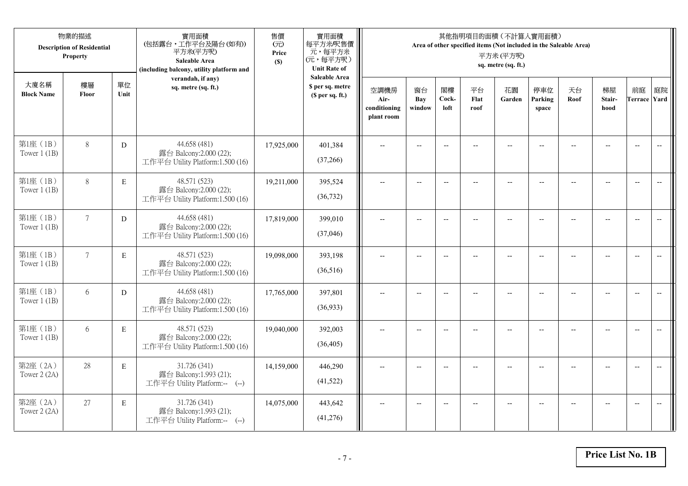|                            | 物業的描述<br><b>Description of Residential</b><br>Property |             | 實用面積<br>(包括露台,工作平台及陽台(如有))<br>平方米(平方呎)<br>Saleable Area<br>(including balcony, utility platform and | 售價<br>(元)<br>Price<br>(S) | 實用面積<br>每平方米/呎售價<br>元,每平方米<br>(元,每平方呎)<br><b>Unit Rate of</b>          |                                            |                          |                          |                          | 其他指明項目的面積 (不計算入實用面積)<br>Area of other specified items (Not included in the Saleable Area)<br>平方米(平方呎)<br>sq. metre (sq. ft.) |                          |                |                          |                           |                          |
|----------------------------|--------------------------------------------------------|-------------|-----------------------------------------------------------------------------------------------------|---------------------------|------------------------------------------------------------------------|--------------------------------------------|--------------------------|--------------------------|--------------------------|------------------------------------------------------------------------------------------------------------------------------|--------------------------|----------------|--------------------------|---------------------------|--------------------------|
| 大廈名稱<br><b>Block Name</b>  | 樓層<br>Floor                                            | 單位<br>Unit  | verandah, if any)<br>sq. metre (sq. ft.)                                                            |                           | <b>Saleable Area</b><br>\$ per sq. metre<br>(S <sub>per</sub> sq. ft.) | 空調機房<br>Air-<br>conditioning<br>plant room | 窗台<br>Bay<br>window      | 閣樓<br>Cock-<br>loft      | 平台<br>Flat<br>roof       | 花園<br>Garden                                                                                                                 | 停車位<br>Parking<br>space  | 天台<br>Roof     | 梯屋<br>Stair-<br>hood     | 前庭<br><b>Terrace Yard</b> | 庭院                       |
| 第1座 (1B)<br>Tower $1$ (1B) | $8\,$                                                  | D           | 44.658 (481)<br>露台 Balcony:2.000 (22);<br>工作平台 Utility Platform:1.500 (16)                          | 17,925,000                | 401,384<br>(37,266)                                                    |                                            | $-$                      | $\overline{a}$           |                          |                                                                                                                              |                          |                |                          | $\overline{a}$            | $\overline{\phantom{a}}$ |
| 第1座 (1B)<br>Tower $1$ (1B) | $8\,$                                                  | $\mathbf E$ | 48.571 (523)<br>露台 Balcony:2.000 (22);<br>工作平台 Utility Platform:1.500 (16)                          | 19,211,000                | 395,524<br>(36, 732)                                                   | $\overline{\phantom{a}}$                   | $\overline{\phantom{a}}$ | $\overline{\phantom{a}}$ |                          | $\overline{\phantom{a}}$                                                                                                     | $-$                      |                | $\overline{a}$           | $-$                       |                          |
| 第1座 (1B)<br>Tower $1$ (1B) | $7\overline{ }$                                        | D           | 44.658 (481)<br>露台 Balcony:2.000 (22);<br>工作平台 Utility Platform:1.500 (16)                          | 17,819,000                | 399,010<br>(37,046)                                                    |                                            | $\overline{\phantom{a}}$ | $-$                      | $-$                      | $-$                                                                                                                          |                          |                | $\overline{\phantom{a}}$ | $\overline{\phantom{a}}$  |                          |
| 第1座 (1B)<br>Tower $1$ (1B) | $7\overline{ }$                                        | $\mathbf E$ | 48.571 (523)<br>露台 Balcony:2.000 (22);<br>工作平台 Utility Platform:1.500 (16)                          | 19,098,000                | 393,198<br>(36,516)                                                    | $-$                                        | $\overline{\phantom{a}}$ | $\overline{\phantom{a}}$ | $\overline{\phantom{a}}$ | $-$                                                                                                                          | $\overline{\phantom{a}}$ | $\overline{a}$ | --                       | $-$                       | $\overline{\phantom{m}}$ |
| 第1座 (1B)<br>Tower $1(1B)$  | 6                                                      | D           | 44.658 (481)<br>露台 Balcony:2.000 (22);<br>工作平台 Utility Platform:1.500 (16)                          | 17,765,000                | 397,801<br>(36,933)                                                    | $\sim$                                     | $\overline{a}$           | $\overline{a}$           | $\overline{a}$           | $\overline{\phantom{a}}$                                                                                                     | $\overline{a}$           |                | $\overline{a}$           | $\overline{\phantom{a}}$  | $\overline{\phantom{a}}$ |
| 第1座 (1B)<br>Tower $1$ (1B) | 6                                                      | E           | 48.571 (523)<br>露台 Balcony:2.000 (22);<br>工作平台 Utility Platform:1.500 (16)                          | 19,040,000                | 392,003<br>(36, 405)                                                   | $\overline{\phantom{a}}$                   | $\overline{a}$           | $\overline{\phantom{a}}$ |                          | $\overline{a}$                                                                                                               | $-$                      | $-$            | $\overline{a}$           | $\overline{\phantom{a}}$  | $\sim$                   |
| 第2座 (2A)<br>Tower 2 (2A)   | 28                                                     | E           | 31.726 (341)<br>露台 Balcony:1.993 (21);<br>工作平台 Utility Platform:-- (--)                             | 14,159,000                | 446,290<br>(41,522)                                                    |                                            |                          | $\overline{\phantom{a}}$ |                          |                                                                                                                              |                          |                |                          | $\overline{\phantom{a}}$  | $\overline{\phantom{a}}$ |
| 第2座 (2A)<br>Tower 2 (2A)   | 27                                                     | $\mathbf E$ | 31.726 (341)<br>露台 Balcony:1.993 (21);<br>工作平台 Utility Platform:-- (--)                             | 14,075,000                | 443,642<br>(41,276)                                                    | $\overline{\phantom{a}}$                   | $-$                      | $\overline{\phantom{a}}$ |                          | $\overline{a}$                                                                                                               | $-$                      |                | $-$                      | $-$                       | $\overline{\phantom{a}}$ |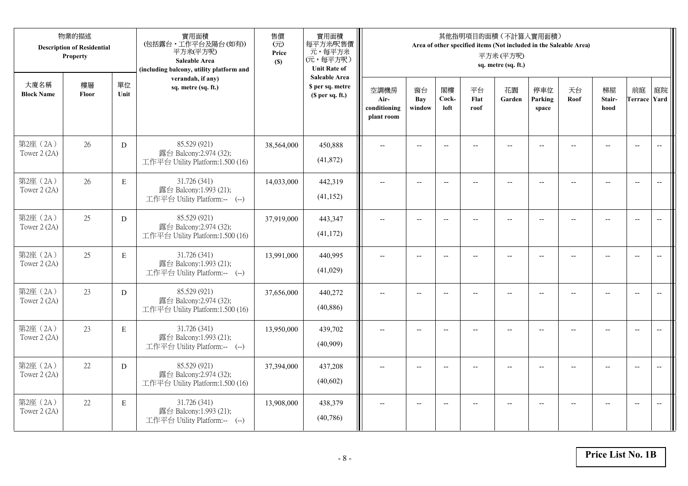|                           | 物業的描述<br><b>Description of Residential</b><br>Property |             | 實用面積<br>(包括露台,工作平台及陽台(如有))<br>平方米(平方呎)<br>Saleable Area<br>(including balcony, utility platform and | 售價<br>(元)<br>Price<br>(S) | 實用面積<br>每平方米/呎售價<br>元,每平方米<br>(元,每平方呎)<br><b>Unit Rate of</b> |                                            |                          |                          | 其他指明項目的面積 (不計算入實用面積)<br>Area of other specified items (Not included in the Saleable Area) | 平方米(平方呎)<br>sq. metre (sq. ft.) |                         |                |                          |                           |                          |
|---------------------------|--------------------------------------------------------|-------------|-----------------------------------------------------------------------------------------------------|---------------------------|---------------------------------------------------------------|--------------------------------------------|--------------------------|--------------------------|-------------------------------------------------------------------------------------------|---------------------------------|-------------------------|----------------|--------------------------|---------------------------|--------------------------|
| 大廈名稱<br><b>Block Name</b> | 樓層<br>Floor                                            | 單位<br>Unit  | verandah, if any)<br>sq. metre (sq. ft.)                                                            |                           | <b>Saleable Area</b><br>\$ per sq. metre<br>(\$ per sq. ft.)  | 空調機房<br>Air-<br>conditioning<br>plant room | 窗台<br>Bay<br>window      | 閣樓<br>Cock-<br>loft      | 平台<br>Flat<br>roof                                                                        | 花園<br>Garden                    | 停車位<br>Parking<br>space | 天台<br>Roof     | 梯屋<br>Stair-<br>hood     | 前庭<br><b>Terrace Yard</b> | 庭院                       |
| 第2座 (2A)<br>Tower $2(2A)$ | 26                                                     | D           | 85.529 (921)<br>露台 Balcony:2.974 (32);<br>工作平台 Utility Platform:1.500 (16)                          | 38,564,000                | 450,888<br>(41,872)                                           |                                            |                          | $-$                      |                                                                                           |                                 |                         |                |                          | $\overline{\phantom{a}}$  | $\overline{\phantom{a}}$ |
| 第2座 (2A)<br>Tower 2 (2A)  | 26                                                     | $\mathbf E$ | 31.726 (341)<br>露台 Balcony:1.993 (21);<br>工作平台 Utility Platform:-- (--)                             | 14,033,000                | 442,319<br>(41, 152)                                          | $\overline{a}$                             | $\overline{\phantom{a}}$ | $\overline{\phantom{a}}$ | $-$                                                                                       | $\overline{\phantom{a}}$        | $-$                     | $-$            | $-$                      | $\overline{a}$            | $-$                      |
| 第2座 (2A)<br>Tower 2 (2A)  | 25                                                     | D           | 85.529 (921)<br>露台 Balcony:2.974 (32);<br>工作平台 Utility Platform:1.500 (16)                          | 37,919,000                | 443,347<br>(41, 172)                                          |                                            | $\overline{a}$           | $\overline{\phantom{a}}$ | $\overline{a}$                                                                            | $\overline{a}$                  |                         |                | $\overline{a}$           | $\overline{a}$            |                          |
| 第2座 (2A)<br>Tower 2 (2A)  | 25                                                     | $\mathbf E$ | 31.726 (341)<br>露台 Balcony:1.993 (21);<br>工作平台 Utility Platform:-- (--)                             | 13,991,000                | 440,995<br>(41,029)                                           | $\overline{\phantom{a}}$                   | $-$                      | $-$                      | $\overline{a}$                                                                            | $\overline{\phantom{a}}$        | $\overline{a}$          |                | $\overline{\phantom{a}}$ | $\overline{\phantom{a}}$  | $\overline{\phantom{m}}$ |
| 第2座 (2A)<br>Tower 2 (2A)  | 23                                                     | D           | 85.529 (921)<br>露台 Balcony:2.974 (32);<br>工作平台 Utility Platform:1.500 (16)                          | 37,656,000                | 440,272<br>(40, 886)                                          | $\overline{a}$                             | $- -$                    | $\overline{\phantom{a}}$ | $\qquad \qquad -$                                                                         | $\overline{\phantom{m}}$        | $-$                     | $\overline{a}$ | $-$                      | $\overline{\phantom{m}}$  | $\overline{\phantom{m}}$ |
| 第2座 (2A)<br>Tower 2 (2A)  | 23                                                     | $\mathbf E$ | 31.726 (341)<br>露台 Balcony:1.993 (21);<br>工作平台 Utility Platform:-- (--)                             | 13,950,000                | 439,702<br>(40,909)                                           |                                            | $-$                      | $-$                      |                                                                                           | $\overline{a}$                  |                         |                | $-$                      | $\overline{a}$            | $-$                      |
| 第2座 (2A)<br>Tower 2 (2A)  | 22                                                     | D           | 85.529 (921)<br>露台 Balcony:2.974 (32);<br>工作平台 Utility Platform:1.500 (16)                          | 37,394,000                | 437,208<br>(40,602)                                           | $\sim$                                     | $-$                      | $\overline{\phantom{a}}$ |                                                                                           | $\sim$                          | $-$                     |                | $\overline{a}$           | $-$                       | $\overline{a}$           |
| 第2座 (2A)<br>Tower 2 (2A)  | 22                                                     | E           | 31.726 (341)<br>露台 Balcony:1.993 (21);<br>工作平台 Utility Platform:-- (--)                             | 13,908,000                | 438,379<br>(40, 786)                                          |                                            | $-$                      |                          |                                                                                           | --                              |                         |                |                          | $\overline{a}$            | $-$                      |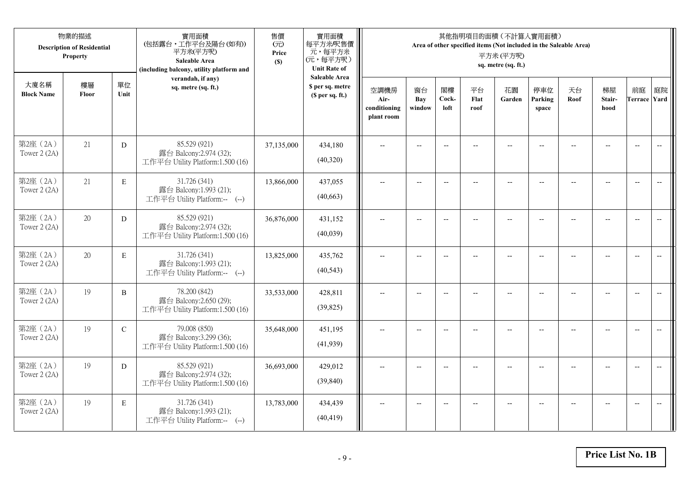|                           | 物業的描述<br><b>Description of Residential</b><br>Property |               | 實用面積<br>(包括露台,工作平台及陽台(如有))<br>平方米(平方呎)<br>Saleable Area<br>(including balcony, utility platform and | 售價<br>(元)<br>Price<br>(S) | 實用面積<br>每平方米/呎售價<br>元,每平方米<br>(元,每平方呎)<br><b>Unit Rate of</b>          |                                            |                          |                          |                          | 其他指明項目的面積 (不計算入實用面積)<br>Area of other specified items (Not included in the Saleable Area)<br>平方米(平方呎)<br>sq. metre (sq. ft.) |                          |                          |                                                     |                           |                          |
|---------------------------|--------------------------------------------------------|---------------|-----------------------------------------------------------------------------------------------------|---------------------------|------------------------------------------------------------------------|--------------------------------------------|--------------------------|--------------------------|--------------------------|------------------------------------------------------------------------------------------------------------------------------|--------------------------|--------------------------|-----------------------------------------------------|---------------------------|--------------------------|
| 大廈名稱<br><b>Block Name</b> | 樓層<br>Floor                                            | 單位<br>Unit    | verandah, if any)<br>sq. metre (sq. ft.)                                                            |                           | <b>Saleable Area</b><br>\$ per sq. metre<br>(S <sub>per</sub> sq. ft.) | 空調機房<br>Air-<br>conditioning<br>plant room | 窗台<br>Bay<br>window      | 閣樓<br>Cock-<br>loft      | 平台<br>Flat<br>roof       | 花園<br>Garden                                                                                                                 | 停車位<br>Parking<br>space  | 天台<br>Roof               | 梯屋<br>Stair-<br>hood                                | 前庭<br><b>Terrace Yard</b> | 庭院                       |
| 第2座 (2A)<br>Tower 2 (2A)  | 21                                                     | ${\rm D}$     | 85.529 (921)<br>露台 Balcony:2.974 (32);<br>工作平台 Utility Platform:1.500 (16)                          | 37,135,000                | 434,180<br>(40,320)                                                    |                                            | $-$                      | $\overline{a}$           |                          | $\sim$                                                                                                                       |                          |                          |                                                     | $\overline{a}$            | $\overline{\phantom{a}}$ |
| 第2座 (2A)<br>Tower 2 (2A)  | 21                                                     | $\mathbf E$   | 31.726 (341)<br>露台 Balcony:1.993 (21);<br>工作平台 Utility Platform:-- (--)                             | 13,866,000                | 437,055<br>(40, 663)                                                   | $\overline{\phantom{a}}$                   | $\overline{\phantom{a}}$ | $\overline{a}$           | $-$                      | $\overline{a}$                                                                                                               | $-$                      | $\overline{\phantom{a}}$ | $\overline{a}$                                      | $-$                       | $\overline{\phantom{m}}$ |
| 第2座 (2A)<br>Tower 2 (2A)  | 20                                                     | D             | 85.529 (921)<br>露台 Balcony:2.974 (32);<br>工作平台 Utility Platform:1.500 (16)                          | 36,876,000                | 431,152<br>(40,039)                                                    |                                            | $\overline{\phantom{a}}$ | $\overline{\phantom{a}}$ | $-$                      | $-$                                                                                                                          | --                       |                          | $\overline{\phantom{a}}$                            | $\overline{\phantom{a}}$  |                          |
| 第2座 (2A)<br>Tower 2 (2A)  | 20                                                     | $\mathbf E$   | 31.726 (341)<br>露台 Balcony:1.993 (21);<br>工作平台 Utility Platform:-- (--)                             | 13,825,000                | 435,762<br>(40, 543)                                                   | $-$                                        | $\overline{\phantom{m}}$ | $\overline{\phantom{a}}$ | $\overline{\phantom{a}}$ | $-$                                                                                                                          | $\overline{\phantom{a}}$ | $\overline{a}$           | $\hspace{0.05cm} -\hspace{0.05cm} -\hspace{0.05cm}$ | $-$                       | $\overline{\phantom{m}}$ |
| 第2座 (2A)<br>Tower 2 (2A)  | 19                                                     | $\, {\bf B}$  | 78.200 (842)<br>露台 Balcony:2.650 (29);<br>工作平台 Utility Platform:1.500 (16)                          | 33,533,000                | 428,811<br>(39, 825)                                                   | $\sim$                                     | $\overline{a}$           | $\overline{a}$           | $\overline{a}$           | $\overline{\phantom{a}}$                                                                                                     | $\overline{a}$           |                          | $\overline{a}$                                      | $\overline{\phantom{a}}$  | $\overline{\phantom{a}}$ |
| 第2座 (2A)<br>Tower 2 (2A)  | 19                                                     | $\mathcal{C}$ | 79.008 (850)<br>露台 Balcony:3.299 (36);<br>工作平台 Utility Platform:1.500 (16)                          | 35,648,000                | 451,195<br>(41,939)                                                    | $\overline{\phantom{a}}$                   | $\overline{a}$           | $\overline{\phantom{a}}$ |                          | $\overline{a}$                                                                                                               | $\sim$                   | $-$                      | $\overline{a}$                                      | $\overline{\phantom{a}}$  | $\sim$                   |
| 第2座 (2A)<br>Tower 2 (2A)  | 19                                                     | D             | 85.529 (921)<br>露台 Balcony:2.974 (32);<br>工作平台 Utility Platform:1.500 (16)                          | 36,693,000                | 429,012<br>(39, 840)                                                   |                                            |                          | $\overline{\phantom{a}}$ |                          |                                                                                                                              |                          |                          |                                                     | $\overline{\phantom{a}}$  | $-$                      |
| 第2座 (2A)<br>Tower 2 (2A)  | 19                                                     | $\mathbf E$   | 31.726 (341)<br>露台 Balcony:1.993 (21);<br>工作平台 Utility Platform:-- (--)                             | 13,783,000                | 434,439<br>(40, 419)                                                   | $\overline{\phantom{a}}$                   | $-$                      | $\overline{\phantom{a}}$ | $\overline{a}$           | $\overline{\phantom{a}}$                                                                                                     | $-$                      |                          | $-$                                                 | $-$                       | $\overline{\phantom{a}}$ |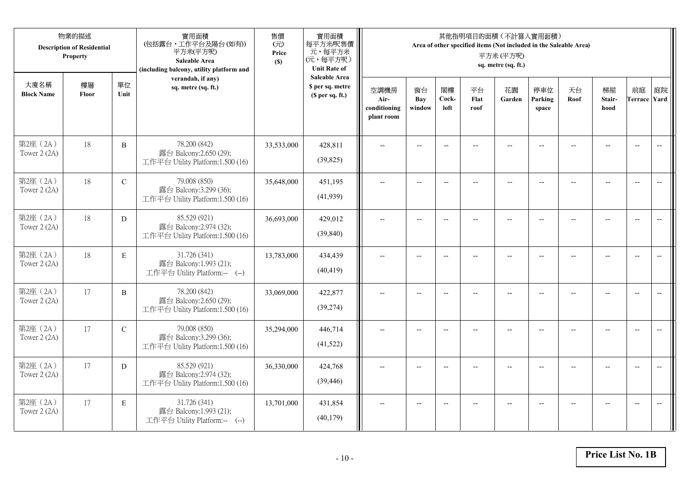|                           | 物業的描述<br><b>Description of Residential</b><br>Property |               | 實用面積<br>(包括露台,工作平台及陽台(如有))<br>平方米(平方呎)<br>Saleable Area<br>(including balcony, utility platform and | 售價<br>(元)<br>Price<br>(S) | 實用面積<br>每平方米/呎售價<br>元,每平方米<br>(元,每平方呎)<br><b>Unit Rate of</b>          |                                            |                          |                          |                          | 其他指明項目的面積 (不計算入實用面積)<br>Area of other specified items (Not included in the Saleable Area)<br>平方米(平方呎)<br>sq. metre (sq. ft.) |                          |                |                          |                           |                          |
|---------------------------|--------------------------------------------------------|---------------|-----------------------------------------------------------------------------------------------------|---------------------------|------------------------------------------------------------------------|--------------------------------------------|--------------------------|--------------------------|--------------------------|------------------------------------------------------------------------------------------------------------------------------|--------------------------|----------------|--------------------------|---------------------------|--------------------------|
| 大廈名稱<br><b>Block Name</b> | 樓層<br>Floor                                            | 單位<br>Unit    | verandah, if any)<br>sq. metre (sq. ft.)                                                            |                           | <b>Saleable Area</b><br>\$ per sq. metre<br>(S <sub>per</sub> sq. ft.) | 空調機房<br>Air-<br>conditioning<br>plant room | 窗台<br>Bay<br>window      | 閣樓<br>Cock-<br>loft      | 平台<br>Flat<br>roof       | 花園<br>Garden                                                                                                                 | 停車位<br>Parking<br>space  | 天台<br>Roof     | 梯屋<br>Stair-<br>hood     | 前庭<br><b>Terrace Yard</b> | 庭院                       |
| 第2座 (2A)<br>Tower 2 (2A)  | 18                                                     | $\, {\bf B}$  | 78.200 (842)<br>露台 Balcony:2.650 (29);<br>工作平台 Utility Platform:1.500 (16)                          | 33,533,000                | 428,811<br>(39, 825)                                                   |                                            | $-$                      | $\overline{\phantom{a}}$ |                          |                                                                                                                              |                          |                |                          | $\overline{a}$            | $\overline{\phantom{a}}$ |
| 第2座 (2A)<br>Tower 2 (2A)  | 18                                                     | $\mathbf C$   | 79.008 (850)<br>露台 Balcony:3.299 (36);<br>工作平台 Utility Platform:1.500 (16)                          | 35,648,000                | 451,195<br>(41,939)                                                    | $\overline{\phantom{a}}$                   | $\overline{\phantom{a}}$ | $\overline{a}$           | $\overline{a}$           | $\overline{a}$                                                                                                               | $-$                      |                | $\overline{a}$           | $-$                       | $\overline{\phantom{m}}$ |
| 第2座 (2A)<br>Tower 2 (2A)  | 18                                                     | D             | 85.529 (921)<br>露台 Balcony:2.974 (32);<br>工作平台 Utility Platform:1.500 (16)                          | 36,693,000                | 429,012<br>(39, 840)                                                   |                                            | $\overline{\phantom{a}}$ | $-$                      | $-$                      | $-$                                                                                                                          | --                       |                | $\overline{\phantom{a}}$ | $\overline{\phantom{a}}$  |                          |
| 第2座 (2A)<br>Tower 2 (2A)  | 18                                                     | $\mathbf E$   | 31.726 (341)<br>露台 Balcony:1.993 (21);<br>工作平台 Utility Platform:-- (--)                             | 13,783,000                | 434,439<br>(40, 419)                                                   | $-$                                        | $\overline{\phantom{m}}$ | $\overline{\phantom{a}}$ | $\overline{\phantom{a}}$ | $-$                                                                                                                          | $\overline{\phantom{a}}$ | $\overline{a}$ | --                       | $-$                       | $\overline{\phantom{m}}$ |
| 第2座 (2A)<br>Tower 2 (2A)  | 17                                                     | $\, {\bf B}$  | 78.200 (842)<br>露台 Balcony:2.650 (29);<br>工作平台 Utility Platform:1.500 (16)                          | 33,069,000                | 422,877<br>(39, 274)                                                   | $\sim$                                     | $\overline{a}$           | $\overline{a}$           | $\overline{a}$           | $-$                                                                                                                          | $\overline{a}$           |                | $\overline{a}$           | $\overline{\phantom{a}}$  | $\overline{\phantom{a}}$ |
| 第2座 (2A)<br>Tower 2 (2A)  | 17                                                     | $\mathcal{C}$ | 79.008 (850)<br>露台 Balcony:3.299 (36);<br>工作平台 Utility Platform:1.500 (16)                          | 35,294,000                | 446,714<br>(41,522)                                                    | $\overline{\phantom{a}}$                   | $\overline{a}$           | $\overline{\phantom{a}}$ |                          | $\overline{a}$                                                                                                               | $\sim$                   | $-$            | $\overline{a}$           | $\overline{\phantom{a}}$  | $\sim$                   |
| 第2座 (2A)<br>Tower 2 (2A)  | 17                                                     | D             | 85.529 (921)<br>露台 Balcony:2.974 (32);<br>工作平台 Utility Platform:1.500 (16)                          | 36,330,000                | 424,768<br>(39, 446)                                                   |                                            |                          | $\overline{\phantom{a}}$ |                          |                                                                                                                              |                          |                |                          | $\overline{\phantom{a}}$  | $\overline{\phantom{a}}$ |
| 第2座 (2A)<br>Tower 2 (2A)  | 17                                                     | $\mathbf E$   | 31.726 (341)<br>露台 Balcony:1.993 (21);<br>工作平台 Utility Platform:-- (--)                             | 13,701,000                | 431,854<br>(40, 179)                                                   | $\overline{\phantom{a}}$                   | $-$                      | $\overline{\phantom{a}}$ | $\overline{a}$           | $\overline{a}$                                                                                                               | $-$                      |                | $-$                      | $-$                       | $\overline{\phantom{a}}$ |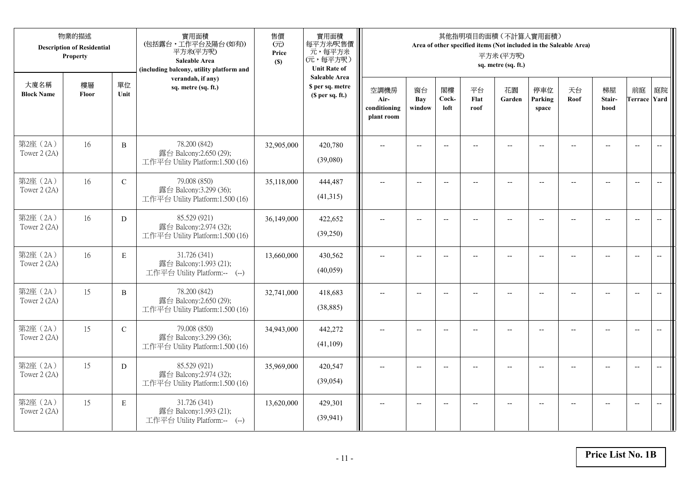|                           | 物業的描述<br><b>Description of Residential</b><br>Property<br>大廈名稱<br>樓層<br>單位 |               | 實用面積<br>(包括露台,工作平台及陽台(如有))<br>平方米(平方呎)<br>Saleable Area<br>(including balcony, utility platform and | 售價<br>(元)<br>Price<br>(S) | 實用面積<br>每平方米/呎售價<br>元,每平方米<br>(元,每平方呎)<br><b>Unit Rate of</b> |                                            |                          | 其他指明項目的面積 (不計算入實用面積)<br>Area of other specified items (Not included in the Saleable Area) |                    |                          |                         |            |                          |                           |                          |
|---------------------------|----------------------------------------------------------------------------|---------------|-----------------------------------------------------------------------------------------------------|---------------------------|---------------------------------------------------------------|--------------------------------------------|--------------------------|-------------------------------------------------------------------------------------------|--------------------|--------------------------|-------------------------|------------|--------------------------|---------------------------|--------------------------|
| <b>Block Name</b>         | Floor                                                                      | Unit          | verandah, if any)<br>sq. metre (sq. ft.)                                                            |                           | <b>Saleable Area</b><br>\$ per sq. metre<br>(\$ per sq. ft.)  | 空調機房<br>Air-<br>conditioning<br>plant room | 窗台<br>Bay<br>window      | 閣樓<br>Cock-<br>loft                                                                       | 平台<br>Flat<br>roof | 花園<br>Garden             | 停車位<br>Parking<br>space | 天台<br>Roof | 梯屋<br>Stair-<br>hood     | 前庭<br><b>Terrace Yard</b> | 庭院                       |
| 第2座 (2A)<br>Tower $2(2A)$ | 16                                                                         | $\, {\bf B}$  | 78.200 (842)<br>露台 Balcony:2.650 (29);<br>工作平台 Utility Platform:1.500 (16)                          | 32,905,000                | 420,780<br>(39,080)                                           |                                            |                          | $-$                                                                                       |                    |                          |                         |            |                          | $\overline{\phantom{a}}$  | $\overline{\phantom{a}}$ |
| 第2座 (2A)<br>Tower 2 (2A)  | 16                                                                         | $\mathcal{C}$ | 79.008 (850)<br>露台 Balcony:3.299 (36);<br>工作平台 Utility Platform:1.500 (16)                          | 35,118,000                | 444,487<br>(41,315)                                           | $\overline{a}$                             | $\overline{\phantom{a}}$ | $\overline{\phantom{a}}$                                                                  | $-$                | $\overline{\phantom{a}}$ | $-$                     | $-$        | $\overline{a}$           | $\overline{a}$            | $-$                      |
| 第2座 (2A)<br>Tower 2 (2A)  | 16                                                                         | D             | 85.529 (921)<br>露台 Balcony:2.974 (32);<br>工作平台 Utility Platform:1.500 (16)                          | 36,149,000                | 422,652<br>(39,250)                                           |                                            | $\overline{a}$           | $\overline{\phantom{a}}$                                                                  |                    | $\overline{a}$           |                         |            |                          | $\overline{a}$            |                          |
| 第2座 (2A)<br>Tower 2 (2A)  | 16                                                                         | $\mathbf E$   | 31.726 (341)<br>露台 Balcony:1.993 (21);<br>工作平台 Utility Platform:-- (--)                             | 13,660,000                | 430,562<br>(40,059)                                           | $\overline{\phantom{a}}$                   | $-$                      | $-$                                                                                       | $\overline{a}$     | $\overline{\phantom{a}}$ | $\overline{a}$          |            | $\overline{\phantom{a}}$ | $\overline{\phantom{a}}$  | $\overline{\phantom{m}}$ |
| 第2座 (2A)<br>Tower 2 (2A)  | 15                                                                         | B             | 78.200 (842)<br>露台 Balcony:2.650 (29);<br>工作平台 Utility Platform:1.500 (16)                          | 32,741,000                | 418,683<br>(38, 885)                                          | $\overline{a}$                             | $- -$                    | $\overline{\phantom{a}}$                                                                  | $\qquad \qquad -$  | $-$                      | $-$                     | --         | $-$                      | $\overline{\phantom{m}}$  | $\overline{\phantom{m}}$ |
| 第2座 (2A)<br>Tower 2 (2A)  | 15                                                                         | $\mathbf C$   | 79.008 (850)<br>露台 Balcony:3.299 (36);<br>工作平台 Utility Platform:1.500 (16)                          | 34,943,000                | 442,272<br>(41,109)                                           |                                            | $-$                      | $-$                                                                                       |                    |                          |                         |            | $-$                      | $\overline{a}$            | $-$                      |
| 第2座 (2A)<br>Tower 2 (2A)  | 15                                                                         | D             | 85.529 (921)<br>露台 Balcony:2.974 (32);<br>工作平台 Utility Platform:1.500 (16)                          | 35,969,000                | 420,547<br>(39, 054)                                          | $\sim$                                     | $-$                      | $\overline{\phantom{a}}$                                                                  |                    | $\sim$                   | $-$                     |            | $\overline{a}$           | $-$                       | $\overline{a}$           |
| 第2座 (2A)<br>Tower 2 (2A)  | 15                                                                         | E             | 31.726 (341)<br>露台 Balcony:1.993 (21);<br>工作平台 Utility Platform:-- (--)                             | 13,620,000                | 429,301<br>(39, 941)                                          |                                            | $-$                      |                                                                                           |                    | --                       |                         |            |                          | $\overline{a}$            | $-$                      |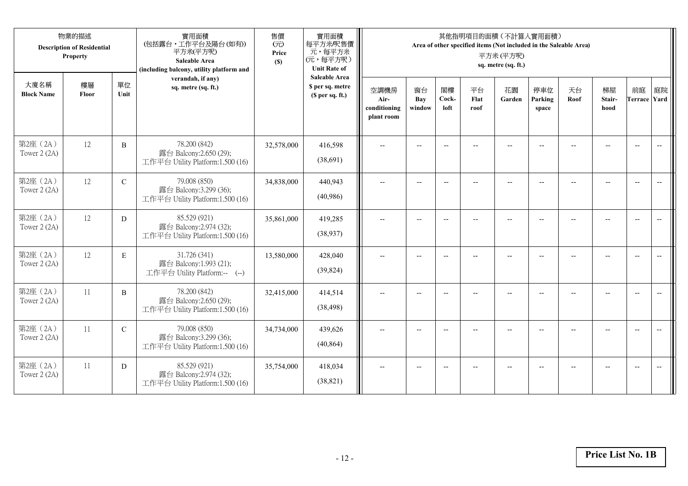| 物業的描述<br><b>Description of Residential</b><br><b>Property</b> |             |               | 實用面積<br>(包括露台,工作平台及陽台(如有))<br>平方米(平方呎)<br><b>Saleable Area</b><br>(including balcony, utility platform and | 售價<br>(元)<br>Price<br>(S) | 實用面積<br>每平方米/呎售價<br>元,每平方米<br>(元,每平方呎)<br><b>Unit Rate of</b> | 其他指明項目的面積 (不計算入實用面積)                       | Area of other specified items (Not included in the Saleable Area) |                          |                    |                          |                          |                          |                      |                           |    |
|---------------------------------------------------------------|-------------|---------------|------------------------------------------------------------------------------------------------------------|---------------------------|---------------------------------------------------------------|--------------------------------------------|-------------------------------------------------------------------|--------------------------|--------------------|--------------------------|--------------------------|--------------------------|----------------------|---------------------------|----|
| 大廈名稱<br><b>Block Name</b>                                     | 樓層<br>Floor | 單位<br>Unit    | verandah, if any)<br>sq. metre (sq. ft.)                                                                   |                           | <b>Saleable Area</b><br>\$ per sq. metre<br>(\$ per sq. ft.)  | 空調機房<br>Air-<br>conditioning<br>plant room | 窗台<br><b>Bay</b><br>window                                        | 閣樓<br>Cock-<br>loft      | 平台<br>Flat<br>roof | 花園<br>Garden             | 停車位<br>Parking<br>space  | 天台<br>Roof               | 梯屋<br>Stair-<br>hood | 前庭<br><b>Terrace Yard</b> | 庭院 |
| 第2座 (2A)<br>Tower 2 (2A)                                      | 12          | B             | 78.200 (842)<br>露台 Balcony:2.650 (29);<br>工作平台 Utility Platform:1.500 (16)                                 | 32,578,000                | 416,598<br>(38,691)                                           | $\overline{\phantom{a}}$                   | $\overline{\phantom{a}}$                                          | $\overline{\phantom{a}}$ |                    | $\overline{\phantom{a}}$ | $\overline{\phantom{a}}$ |                          |                      | $\overline{\phantom{a}}$  |    |
| 第2座 (2A)<br>Tower 2 (2A)                                      | 12          | $\mathcal{C}$ | 79.008 (850)<br>露台 Balcony:3.299 (36);<br>工作平台 Utility Platform:1.500 (16)                                 | 34,838,000                | 440,943<br>(40,986)                                           | $\overline{\phantom{a}}$                   | $-$                                                               | $\overline{a}$           | $-$                | $\overline{a}$           | $-$                      |                          |                      | $\overline{\phantom{a}}$  |    |
| 第2座 (2A)<br>Tower 2 (2A)                                      | 12          | D             | 85.529 (921)<br>露台 Balcony:2.974 (32);<br>工作平台 Utility Platform:1.500 (16)                                 | 35,861,000                | 419,285<br>(38,937)                                           | $\overline{a}$                             | $\overline{\phantom{a}}$                                          | $\overline{\phantom{a}}$ | --                 | $\overline{\phantom{a}}$ | $-$                      |                          |                      | $\overline{\phantom{a}}$  |    |
| 第2座 (2A)<br>Tower 2 (2A)                                      | 12          | E             | 31.726 (341)<br>露台 Balcony:1.993 (21);<br>工作平台 Utility Platform:-- (--)                                    | 13,580,000                | 428,040<br>(39, 824)                                          | $\overline{\phantom{a}}$                   | $\overline{\phantom{a}}$                                          | $\overline{\phantom{a}}$ | --                 | $\overline{\phantom{a}}$ | $\overline{a}$           | $-$                      |                      | $\overline{\phantom{a}}$  |    |
| 第2座 (2A)<br>Tower 2 (2A)                                      | 11          | B             | 78.200 (842)<br>露台 Balcony:2.650 (29);<br>工作平台 Utility Platform:1.500 (16)                                 | 32,415,000                | 414,514<br>(38, 498)                                          | $\overline{\phantom{a}}$                   | $-$                                                               | $\overline{a}$           | $-$                | $-$                      | $\overline{a}$           | $\overline{\phantom{0}}$ | $\overline{a}$       | $\overline{\phantom{a}}$  |    |
| 第2座 (2A)<br>Tower 2 (2A)                                      | 11          | $\mathcal{C}$ | 79.008 (850)<br>露台 Balcony:3.299 (36);<br>工作平台 Utility Platform:1.500 (16)                                 | 34,734,000                | 439,626<br>(40, 864)                                          | $\overline{a}$                             | $\overline{\phantom{a}}$                                          | $-$                      | --                 | $-$                      | $\overline{a}$           |                          |                      | $\overline{\phantom{a}}$  |    |
| 第2座 (2A)<br>Tower 2 (2A)                                      | 11          | D             | 85.529 (921)<br>露台 Balcony:2.974 (32);<br>工作平台 Utility Platform:1.500 (16)                                 | 35,754,000                | 418,034<br>(38, 821)                                          | $\overline{a}$                             | $\overline{\phantom{a}}$                                          | $\sim$                   | $-$                | $\overline{\phantom{a}}$ | $\overline{a}$           |                          |                      | $\overline{\phantom{a}}$  |    |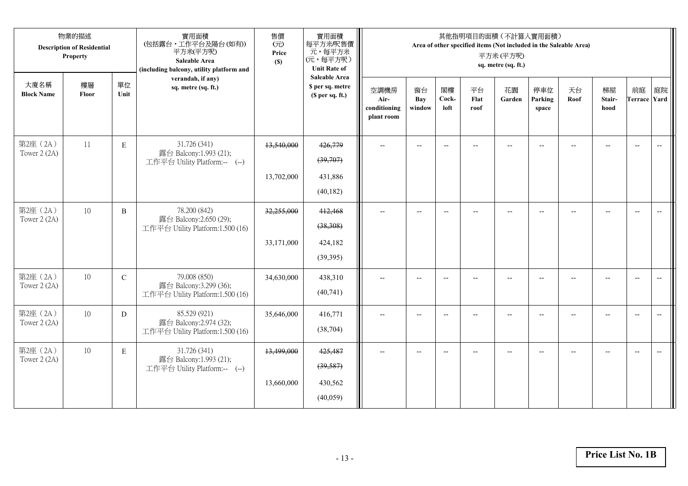|                           | 物業的描述<br><b>Description of Residential</b><br><b>Property</b> |              | 實用面積<br>(包括露台,工作平台及陽台(如有))<br>平方米(平方呎)<br><b>Saleable Area</b><br>(including balcony, utility platform and | 售價<br>(元)<br>Price<br>(S) | 實用面積<br>每平方米/呎售價<br>元,每平方米<br>(元,每平方呎)<br><b>Unit Rate of</b> |                                            | 其他指明項目的面積(不計算入實用面積)<br>Area of other specified items (Not included in the Saleable Area)<br>平方米(平方呎)<br>sq. metre (sq. ft.) |                          |                          |                          |                          |                          |                          |                          |                          |  |  |
|---------------------------|---------------------------------------------------------------|--------------|------------------------------------------------------------------------------------------------------------|---------------------------|---------------------------------------------------------------|--------------------------------------------|-----------------------------------------------------------------------------------------------------------------------------|--------------------------|--------------------------|--------------------------|--------------------------|--------------------------|--------------------------|--------------------------|--------------------------|--|--|
| 大廈名稱<br><b>Block Name</b> | 樓層<br>Floor                                                   | 單位<br>Unit   | verandah, if any)<br>sq. metre (sq. ft.)                                                                   |                           | <b>Saleable Area</b><br>\$ per sq. metre<br>(\$ per sq. ft.)  | 空調機房<br>Air-<br>conditioning<br>plant room | 窗台<br>Bay<br>window                                                                                                         | 閣樓<br>Cock-<br>loft      | 平台<br>Flat<br>roof       | 花園<br>Garden             | 停車位<br>Parking<br>space  | 天台<br>Roof               | 梯屋<br>Stair-<br>hood     | 前庭<br><b>Terrace</b>     | 庭院<br>Yard               |  |  |
| 第2座 (2A)<br>Tower 2 (2A)  | 11                                                            | E            | 31.726 (341)<br>露台 Balcony:1.993 (21);<br>工作平台 Utility Platform:-- (--)                                    | 13,540,000<br>13,702,000  | 426,779<br>(39,707)<br>431,886<br>(40, 182)                   | $\overline{\phantom{a}}$                   | $\overline{\phantom{a}}$                                                                                                    | $\overline{\phantom{a}}$ | $\overline{\phantom{a}}$ | $\overline{\phantom{a}}$ | $\overline{\phantom{a}}$ | $\overline{\phantom{a}}$ | $-$                      | $\overline{\phantom{a}}$ | $\overline{\phantom{a}}$ |  |  |
| 第2座 (2A)<br>Tower 2 (2A)  | 10                                                            | $\, {\bf B}$ | 78.200 (842)<br>露台 Balcony:2.650 (29);<br>工作平台 Utility Platform:1.500 (16)                                 | 32,255,000<br>33,171,000  | 412,468<br>(38, 308)<br>424,182<br>(39, 395)                  | $-$                                        | $-$                                                                                                                         | $\overline{\phantom{a}}$ | $\overline{\phantom{a}}$ | $-$                      | $\overline{\phantom{a}}$ | $-$                      | $\overline{\phantom{a}}$ | $\overline{\phantom{a}}$ | $-$                      |  |  |
| 第2座 (2A)<br>Tower 2 (2A)  | 10                                                            | $\mathbf C$  | 79.008 (850)<br>露台 Balcony:3.299 (36);<br>工作平台 Utility Platform:1.500 (16)                                 | 34,630,000                | 438,310<br>(40, 741)                                          | $\overline{a}$                             | $-$                                                                                                                         | $-$                      | $\overline{a}$           | $-$                      |                          |                          |                          | $\overline{\phantom{a}}$ |                          |  |  |
| 第2座 (2A)<br>Tower 2 (2A)  | 10                                                            | D            | 85.529 (921)<br>露台 Balcony:2.974 (32);<br>工作平台 Utility Platform:1.500 (16)                                 | 35,646,000                | 416,771<br>(38, 704)                                          | $-$                                        | $\overline{\phantom{a}}$                                                                                                    | $\overline{a}$           | $\overline{a}$           | $\overline{a}$           | $\overline{\phantom{a}}$ | $\overline{\phantom{a}}$ | $-$                      | $\overline{\phantom{a}}$ |                          |  |  |
| 第2座 (2A)<br>Tower 2 (2A)  | $10\,$                                                        | E            | 31.726 (341)<br>露台 Balcony:1.993 (21);<br>工作平台 Utility Platform:-- (--)                                    | 13,499,000<br>13,660,000  | 425,487<br>(39, 587)<br>430,562<br>(40,059)                   | $\overline{\phantom{a}}$                   | $\overline{a}$                                                                                                              |                          |                          |                          |                          |                          |                          | $\overline{a}$           |                          |  |  |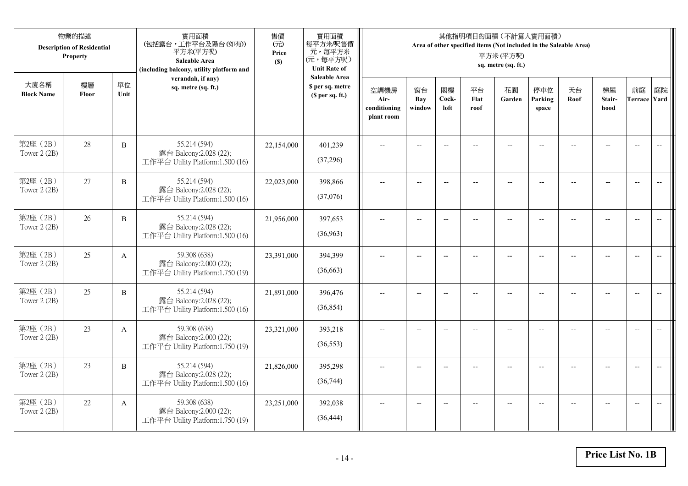|                          | 物業的描述<br><b>Description of Residential</b><br>Property<br>大廈名稱<br>樓層<br>單位 |              | 實用面積<br>(包括露台,工作平台及陽台(如有))<br>平方米(平方呎)<br>Saleable Area<br>(including balcony, utility platform and | 售價<br>(元)<br>Price<br>(S) | 實用面積<br>每平方米/呎售價<br>元,每平方米<br>(元,每平方呎)<br><b>Unit Rate of</b>          | 其他指明項目的面積 (不計算入實用面積)<br>Area of other specified items (Not included in the Saleable Area)<br>平方米(平方呎)<br>sq. metre (sq. ft.) |                          |                          |                          |                          |                          |                |                          |                           |                          |  |
|--------------------------|----------------------------------------------------------------------------|--------------|-----------------------------------------------------------------------------------------------------|---------------------------|------------------------------------------------------------------------|------------------------------------------------------------------------------------------------------------------------------|--------------------------|--------------------------|--------------------------|--------------------------|--------------------------|----------------|--------------------------|---------------------------|--------------------------|--|
| <b>Block Name</b>        | Floor                                                                      | Unit         | verandah, if any)<br>sq. metre (sq. ft.)                                                            |                           | <b>Saleable Area</b><br>\$ per sq. metre<br>(S <sub>per</sub> sq. ft.) | 空調機房<br>Air-<br>conditioning<br>plant room                                                                                   | 窗台<br>Bay<br>window      | 閣樓<br>Cock-<br>loft      | 平台<br>Flat<br>roof       | 花園<br>Garden             | 停車位<br>Parking<br>space  | 天台<br>Roof     | 梯屋<br>Stair-<br>hood     | 前庭<br><b>Terrace Yard</b> | 庭院                       |  |
| 第2座 (2B)<br>Tower 2 (2B) | 28                                                                         | $\, {\bf B}$ | 55.214 (594)<br>露台 Balcony:2.028 (22);<br>工作平台 Utility Platform:1.500 (16)                          | 22,154,000                | 401,239<br>(37,296)                                                    |                                                                                                                              | $-$                      | $\overline{\phantom{a}}$ |                          | $\sim$                   |                          |                |                          | $\overline{a}$            | $\overline{\phantom{a}}$ |  |
| 第2座 (2B)<br>Tower 2 (2B) | 27                                                                         | B            | 55.214 (594)<br>露台 Balcony:2.028 (22);<br>工作平台 Utility Platform:1.500 (16)                          | 22,023,000                | 398,866<br>(37,076)                                                    | $\overline{\phantom{a}}$                                                                                                     | $\overline{\phantom{a}}$ | $\overline{\phantom{a}}$ | $\overline{a}$           | $\overline{\phantom{a}}$ | $-$                      | $-$            | $\overline{a}$           | $-$                       | $\overline{\phantom{m}}$ |  |
| 第2座 (2B)<br>Tower 2 (2B) | 26                                                                         | $\, {\bf B}$ | 55.214 (594)<br>露台 Balcony:2.028 (22);<br>工作平台 Utility Platform:1.500 (16)                          | 21,956,000                | 397,653<br>(36,963)                                                    |                                                                                                                              | $\overline{\phantom{a}}$ | $-$                      | $-$                      | $-$                      | --                       |                | $\overline{\phantom{a}}$ | $\overline{\phantom{a}}$  |                          |  |
| 第2座 (2B)<br>Tower 2 (2B) | 25                                                                         | $\mathbf{A}$ | 59.308 (638)<br>露台 Balcony:2.000 (22);<br>工作平台 Utility Platform:1.750 (19)                          | 23,391,000                | 394,399<br>(36,663)                                                    | $-$                                                                                                                          | $\overline{\phantom{m}}$ | $\overline{\phantom{a}}$ | $\overline{\phantom{a}}$ | $-$                      | $\overline{\phantom{a}}$ | $\overline{a}$ | --                       | $\overline{\phantom{a}}$  | $\overline{\phantom{m}}$ |  |
| 第2座 (2B)<br>Tower 2 (2B) | 25                                                                         | $\, {\bf B}$ | 55.214 (594)<br>露台 Balcony:2.028 (22);<br>工作平台 Utility Platform:1.500 (16)                          | 21,891,000                | 396,476<br>(36, 854)                                                   | $\sim$                                                                                                                       | $\overline{a}$           | $\overline{a}$           | $\overline{a}$           | $-$                      | $\overline{a}$           |                | $\overline{a}$           | $\overline{\phantom{a}}$  | $\overline{\phantom{a}}$ |  |
| 第2座 (2B)<br>Tower 2 (2B) | 23                                                                         | A            | 59.308 (638)<br>露台 Balcony:2.000 (22);<br>工作平台 Utility Platform:1.750 (19)                          | 23,321,000                | 393,218<br>(36, 553)                                                   | $\overline{\phantom{a}}$                                                                                                     | $\overline{a}$           | $-$                      |                          | $\overline{a}$           | $-$                      | $-$            | $\overline{a}$           | $\overline{\phantom{a}}$  | $\sim$                   |  |
| 第2座 (2B)<br>Tower 2 (2B) | 23                                                                         | B            | 55.214 (594)<br>露台 Balcony:2.028 (22);<br>工作平台 Utility Platform:1.500 (16)                          | 21,826,000                | 395,298<br>(36,744)                                                    |                                                                                                                              |                          | $\overline{\phantom{a}}$ |                          |                          |                          |                |                          | $\overline{\phantom{a}}$  | $\overline{a}$           |  |
| 第2座 (2B)<br>Tower 2 (2B) | 22                                                                         | A            | 59.308 (638)<br>露台 Balcony:2.000 (22);<br>工作平台 Utility Platform:1.750 (19)                          | 23,251,000                | 392,038<br>(36, 444)                                                   | $\overline{\phantom{a}}$                                                                                                     | $-$                      | $-$                      | $\overline{a}$           | $\overline{a}$           | $-$                      |                | $-$                      | $-$                       | $\overline{\phantom{a}}$ |  |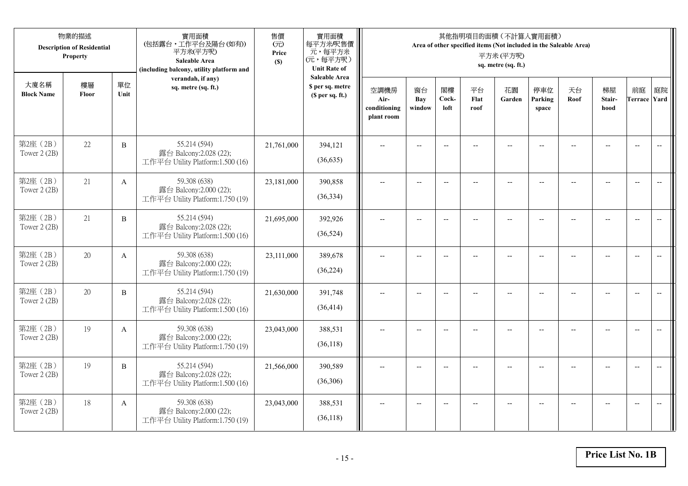| 物業的描述<br><b>Description of Residential</b><br>Property |             |                | 實用面積<br>(包括露台,工作平台及陽台(如有))<br>平方米(平方呎)<br>Saleable Area<br>(including balcony, utility platform and | 售價<br>(元)<br>Price<br>(S) | 實用面積<br>其他指明項目的面積 (不計算入實用面積)<br>每平方米/呎售價<br>Area of other specified items (Not included in the Saleable Area)<br>元,每平方米<br>平方米(平方呎)<br>(元,每平方呎)<br>sq. metre (sq. ft.)<br><b>Unit Rate of</b> |                                            |                          |                          |                          |                          |                          |                          |                          |                          |                          |
|--------------------------------------------------------|-------------|----------------|-----------------------------------------------------------------------------------------------------|---------------------------|-----------------------------------------------------------------------------------------------------------------------------------------------------------------------------------------------|--------------------------------------------|--------------------------|--------------------------|--------------------------|--------------------------|--------------------------|--------------------------|--------------------------|--------------------------|--------------------------|
| 大廈名稱<br><b>Block Name</b>                              | 樓層<br>Floor | 單位<br>Unit     | verandah, if any)<br>sq. metre (sq. ft.)                                                            |                           | <b>Saleable Area</b><br>\$ per sq. metre<br>(S <sub>per</sub> sq. ft.)                                                                                                                        | 空調機房<br>Air-<br>conditioning<br>plant room | 窗台<br>Bay<br>window      | 閣樓<br>Cock-<br>loft      | 平台<br>Flat<br>roof       | 花園<br>Garden             | 停車位<br>Parking<br>space  | 天台<br>Roof               | 梯屋<br>Stair-<br>hood     | 前庭<br>Terrace Yard       | 庭院                       |
| 第2座 (2B)<br>Tower 2 (2B)                               | 22          | $\, {\bf B}$   | 55.214 (594)<br>露台 Balcony:2.028 (22);<br>工作平台 Utility Platform:1.500 (16)                          | 21,761,000                | 394,121<br>(36,635)                                                                                                                                                                           |                                            | $\overline{\phantom{a}}$ | $-$                      |                          | $\overline{\phantom{a}}$ |                          |                          | $\overline{\phantom{a}}$ | $\overline{\phantom{a}}$ | $\overline{\phantom{a}}$ |
| 第2座 (2B)<br>Tower 2 (2B)                               | 21          | $\mathbf{A}$   | 59.308 (638)<br>露台 Balcony:2.000 (22);<br>工作平台 Utility Platform:1.750 (19)                          | 23,181,000                | 390,858<br>(36, 334)                                                                                                                                                                          | $\overline{\phantom{a}}$                   | $-$                      | $\overline{\phantom{a}}$ | $-$                      | $\overline{\phantom{m}}$ | $-$                      | $-$                      | $-$                      | $\overline{a}$           |                          |
| 第2座 (2B)<br>Tower 2 (2B)                               | 21          | $\overline{B}$ | 55.214 (594)<br>露台 Balcony:2.028 (22);<br>工作平台 Utility Platform:1.500 (16)                          | 21,695,000                | 392,926<br>(36,524)                                                                                                                                                                           | $\overline{\phantom{a}}$                   | $\overline{a}$           | $\overline{a}$           | $-$                      | $\overline{a}$           | $-$                      | $\overline{\phantom{a}}$ | $\overline{a}$           | $\overline{\phantom{a}}$ | $\overline{a}$           |
| 第2座 (2B)<br>Tower 2 (2B)                               | 20          | $\mathbf{A}$   | 59.308 (638)<br>露台 Balcony:2.000 (22);<br>工作平台 Utility Platform:1.750 (19)                          | 23,111,000                | 389,678<br>(36, 224)                                                                                                                                                                          | $\overline{\phantom{a}}$                   | $-$                      | $\overline{\phantom{a}}$ | $\overline{\phantom{a}}$ | $\overline{\phantom{a}}$ | $\overline{\phantom{a}}$ | $\overline{a}$           | $\overline{a}$           | $\overline{\phantom{a}}$ | $\overline{\phantom{a}}$ |
| 第2座 (2B)<br>Tower 2 (2B)                               | 20          | $\, {\bf B}$   | 55.214 (594)<br>露台 Balcony:2.028 (22);<br>工作平台 Utility Platform:1.500 (16)                          | 21,630,000                | 391,748<br>(36, 414)                                                                                                                                                                          |                                            | $\overline{\phantom{a}}$ | $\overline{\phantom{a}}$ | $\overline{a}$           | $\overline{a}$           |                          |                          |                          | $\overline{\phantom{a}}$ | $\overline{\phantom{m}}$ |
| 第2座 (2B)<br>Tower 2 (2B)                               | 19          | A              | 59.308 (638)<br>露台 Balcony:2.000 (22);<br>工作平台 Utility Platform:1.750 (19)                          | 23,043,000                | 388,531<br>(36,118)                                                                                                                                                                           |                                            | $-$                      | $\overline{\phantom{a}}$ |                          | $\sim$                   |                          |                          | $\sim$                   | $\overline{a}$           | $\overline{a}$           |
| 第2座 (2B)<br>Tower 2 (2B)                               | 19          | B              | 55.214 (594)<br>露台 Balcony:2.028 (22);<br>工作平台 Utility Platform:1.500 (16)                          | 21,566,000                | 390,589<br>(36,306)                                                                                                                                                                           |                                            | $-$                      | $\overline{\phantom{a}}$ |                          |                          |                          |                          | $-$                      | $\overline{\phantom{a}}$ | $-$                      |
| 第2座 (2B)<br>Tower 2 (2B)                               | 18          | A              | 59.308 (638)<br>露台 Balcony:2.000 (22);<br>工作平台 Utility Platform:1.750 (19)                          | 23,043,000                | 388,531<br>(36, 118)                                                                                                                                                                          | $\overline{\phantom{a}}$                   | $-$                      | $\overline{\phantom{a}}$ |                          | $\overline{a}$           | $-$                      |                          | $-$                      | $-$                      | $\overline{\phantom{a}}$ |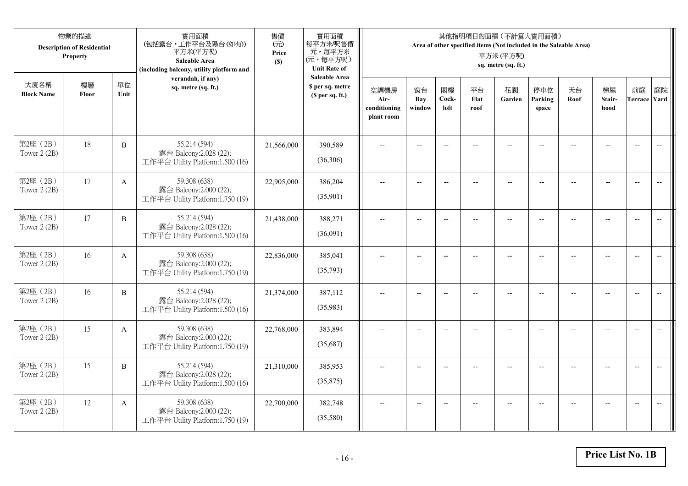|                          | 物業的描述<br><b>Description of Residential</b><br>Property<br>大廈名稱<br>樓層<br>單位 |              | 實用面積<br>(包括露台,工作平台及陽台(如有))<br>平方米(平方呎)<br>Saleable Area<br>(including balcony, utility platform and | 售價<br>(元)<br>Price<br>(S) | 實用面積<br>每平方米/呎售價<br>元,每平方米<br>(元,每平方呎)<br><b>Unit Rate of</b>          | 其他指明項目的面積 (不計算入實用面積)<br>Area of other specified items (Not included in the Saleable Area)<br>平方米(平方呎)<br>sq. metre (sq. ft.) |                          |                          |                          |                          |                          |                |                          |                           |                          |
|--------------------------|----------------------------------------------------------------------------|--------------|-----------------------------------------------------------------------------------------------------|---------------------------|------------------------------------------------------------------------|------------------------------------------------------------------------------------------------------------------------------|--------------------------|--------------------------|--------------------------|--------------------------|--------------------------|----------------|--------------------------|---------------------------|--------------------------|
| <b>Block Name</b>        | Floor                                                                      | Unit         | verandah, if any)<br>sq. metre (sq. ft.)                                                            |                           | <b>Saleable Area</b><br>\$ per sq. metre<br>(S <sub>per</sub> sq. ft.) | 空調機房<br>Air-<br>conditioning<br>plant room                                                                                   | 窗台<br>Bay<br>window      | 閣樓<br>Cock-<br>loft      | 平台<br>Flat<br>roof       | 花園<br>Garden             | 停車位<br>Parking<br>space  | 天台<br>Roof     | 梯屋<br>Stair-<br>hood     | 前庭<br><b>Terrace Yard</b> | 庭院                       |
| 第2座 (2B)<br>Tower 2 (2B) | 18                                                                         | $\, {\bf B}$ | 55.214 (594)<br>露台 Balcony:2.028 (22);<br>工作平台 Utility Platform:1.500 (16)                          | 21,566,000                | 390,589<br>(36,306)                                                    |                                                                                                                              | $-$                      | $\overline{\phantom{a}}$ |                          |                          |                          |                |                          | $\overline{a}$            | $\overline{\phantom{a}}$ |
| 第2座 (2B)<br>Tower 2 (2B) | 17                                                                         | $\mathbf{A}$ | 59.308 (638)<br>露台 Balcony:2.000 (22);<br>工作平台 Utility Platform:1.750 (19)                          | 22,905,000                | 386,204<br>(35,901)                                                    | $\overline{\phantom{a}}$                                                                                                     | $\overline{\phantom{a}}$ | $\overline{\phantom{a}}$ | $\overline{a}$           | $\overline{\phantom{a}}$ | $-$                      |                | $\overline{a}$           | $-$                       | $\overline{\phantom{m}}$ |
| 第2座 (2B)<br>Tower 2 (2B) | 17                                                                         | $\, {\bf B}$ | 55.214 (594)<br>露台 Balcony:2.028 (22);<br>工作平台 Utility Platform:1.500 (16)                          | 21,438,000                | 388,271<br>(36,091)                                                    |                                                                                                                              | $\overline{\phantom{a}}$ | $-$                      | $-$                      | $-$                      | --                       |                | $\overline{\phantom{a}}$ | $\overline{\phantom{a}}$  |                          |
| 第2座 (2B)<br>Tower 2 (2B) | 16                                                                         | $\mathbf{A}$ | 59.308 (638)<br>露台 Balcony:2.000 (22);<br>工作平台 Utility Platform:1.750 (19)                          | 22,836,000                | 385,041<br>(35,793)                                                    | $-$                                                                                                                          | $\overline{\phantom{a}}$ | $\overline{\phantom{a}}$ | $\overline{\phantom{a}}$ | $-$                      | $\overline{\phantom{a}}$ | $\overline{a}$ | --                       | $\overline{\phantom{a}}$  | $\overline{\phantom{m}}$ |
| 第2座 (2B)<br>Tower 2 (2B) | 16                                                                         | $\, {\bf B}$ | 55.214 (594)<br>露台 Balcony:2.028 (22);<br>工作平台 Utility Platform:1.500 (16)                          | 21,374,000                | 387,112<br>(35,983)                                                    | $\sim$                                                                                                                       | $\overline{a}$           | $\overline{a}$           | $\overline{a}$           | $\overline{\phantom{a}}$ | $\overline{a}$           |                | $\overline{a}$           | $\overline{\phantom{a}}$  | $\overline{\phantom{a}}$ |
| 第2座 (2B)<br>Tower 2 (2B) | 15                                                                         | A            | 59.308 (638)<br>露台 Balcony:2.000 (22);<br>工作平台 Utility Platform:1.750 (19)                          | 22,768,000                | 383,894<br>(35,687)                                                    | $\overline{\phantom{a}}$                                                                                                     | $\overline{a}$           | $\overline{\phantom{a}}$ |                          | $-$                      | $-$                      | $-$            | $\overline{a}$           | $\overline{\phantom{a}}$  | $\sim$                   |
| 第2座 (2B)<br>Tower 2 (2B) | 15                                                                         | B            | 55.214 (594)<br>露台 Balcony:2.028 (22);<br>工作平台 Utility Platform:1.500 (16)                          | 21,310,000                | 385,953<br>(35,875)                                                    |                                                                                                                              |                          | $\overline{\phantom{a}}$ |                          |                          |                          |                |                          | $\overline{\phantom{a}}$  | $\overline{\phantom{a}}$ |
| 第2座 (2B)<br>Tower 2 (2B) | 12                                                                         | A            | 59.308 (638)<br>露台 Balcony:2.000 (22);<br>工作平台 Utility Platform:1.750 (19)                          | 22,700,000                | 382,748<br>(35,580)                                                    | $\overline{\phantom{a}}$                                                                                                     | $-$                      | $\overline{\phantom{a}}$ |                          | $\overline{a}$           | $-$                      |                | $-$                      | $-$                       | $\overline{\phantom{a}}$ |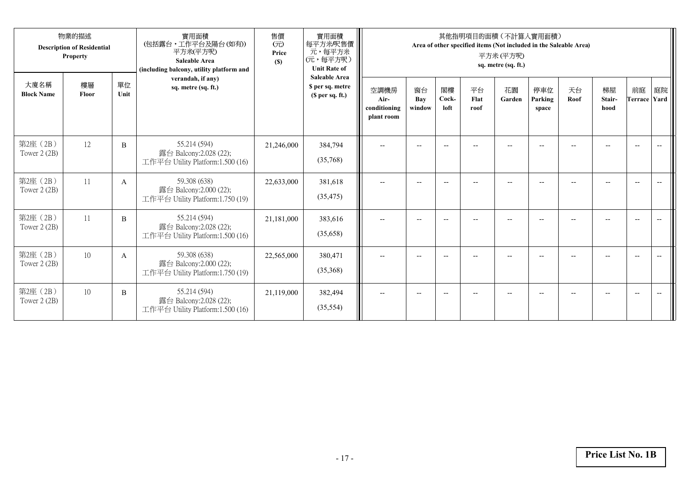|                           | 物業的描述<br><b>Description of Residential</b><br><b>Property</b> |            | 實用面積<br>(包括露台,工作平台及陽台(如有))<br>平方米(平方呎)<br><b>Saleable Area</b><br>(including balcony, utility platform and | 售價<br>(元)<br>Price<br>(S) | 實用面積<br>每平方米/呎售價<br>元,每平方米<br>(元,每平方呎)<br><b>Unit Rate of</b> | 其他指明項目的面積 (不計算入實用面積)<br>Area of other specified items (Not included in the Saleable Area)<br>平方米 (平方呎)<br>sq. metre (sq. ft.) |                          |                                                     |                    |                          |                         |                     |                      |                          |                          |  |  |
|---------------------------|---------------------------------------------------------------|------------|------------------------------------------------------------------------------------------------------------|---------------------------|---------------------------------------------------------------|-------------------------------------------------------------------------------------------------------------------------------|--------------------------|-----------------------------------------------------|--------------------|--------------------------|-------------------------|---------------------|----------------------|--------------------------|--------------------------|--|--|
| 大廈名稱<br><b>Block Name</b> | 樓層<br>Floor                                                   | 單位<br>Unit | verandah, if any)<br>sq. metre (sq. ft.)                                                                   |                           | <b>Saleable Area</b><br>\$ per sq. metre<br>(S per sq. ft.)   | 空調機房<br>Air-<br>conditioning<br>plant room                                                                                    | 窗台<br>Bay<br>window      | 閣樓<br>Cock-<br>loft                                 | 平台<br>Flat<br>roof | 花園<br>Garden             | 停車位<br>Parking<br>space | 天台<br>Roof          | 梯屋<br>Stair-<br>hood | 前庭<br>Terrace Yard       | 庭院                       |  |  |
| 第2座 (2B)<br>Tower 2 (2B)  | 12                                                            | B          | 55.214 (594)<br>露台 Balcony:2.028 (22);<br>工作平台 Utility Platform:1.500 (16)                                 | 21,246,000                | 384,794<br>(35,768)                                           | $\overline{\phantom{a}}$                                                                                                      | $\overline{\phantom{a}}$ | $\hspace{0.05cm} -\hspace{0.05cm} -\hspace{0.05cm}$ | --                 | $\overline{\phantom{a}}$ | --                      | $\hspace{0.05cm} -$ | --                   | $\overline{\phantom{a}}$ | $\overline{\phantom{m}}$ |  |  |
| 第2座 (2B)<br>Tower 2 (2B)  | 11                                                            | A          | 59.308 (638)<br>露台 Balcony:2.000 (22);<br>工作平台 Utility Platform:1.750 (19)                                 | 22,633,000                | 381,618<br>(35, 475)                                          | $\overline{\phantom{a}}$                                                                                                      | $-$                      | $-$                                                 |                    | $\overline{\phantom{a}}$ | --                      |                     |                      | $- -$                    |                          |  |  |
| 第2座 (2B)<br>Tower 2 (2B)  | 11                                                            | B          | 55.214 (594)<br>露台 Balcony:2.028 (22);<br>工作平台 Utility Platform:1.500 (16)                                 | 21,181,000                | 383,616<br>(35,658)                                           | $\overline{\phantom{a}}$                                                                                                      | $\overline{\phantom{a}}$ | $--$                                                | --                 | $\overline{\phantom{a}}$ | --                      |                     |                      | $\overline{\phantom{a}}$ |                          |  |  |
| 第2座 (2B)<br>Tower 2 (2B)  | 10                                                            | A          | 59.308 (638)<br>露台 Balcony: 2.000 (22);<br>工作平台 Utility Platform:1.750 (19)                                | 22,565,000                | 380,471<br>(35,368)                                           | $\overline{\phantom{a}}$                                                                                                      | $-$                      | $- -$                                               | --                 | $\overline{\phantom{a}}$ | --                      | --                  | --                   | $\overline{\phantom{a}}$ | $\overline{\phantom{a}}$ |  |  |
| 第2座 (2B)<br>Tower 2 (2B)  | 10                                                            | B          | 55.214 (594)<br>露台 Balcony:2.028 (22);<br>工作平台 Utility Platform:1.500 (16)                                 | 21,119,000                | 382,494<br>(35, 554)                                          | $\overline{\phantom{a}}$                                                                                                      | $-$                      | $\overline{\phantom{a}}$                            |                    | $\overline{a}$           | --                      |                     |                      | $\overline{\phantom{a}}$ | $\overline{\phantom{a}}$ |  |  |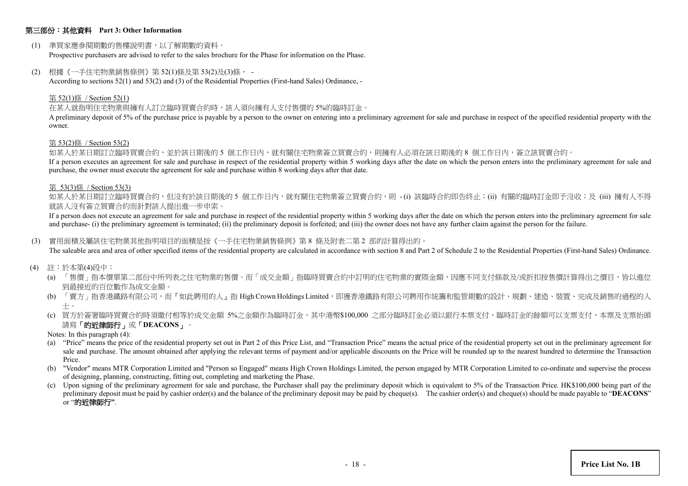#### 第三部份:其他資料 **Part 3: Other Information**

(1) 準買家應參閱期數的售樓說明書,以了解期數的資料。

Prospective purchasers are advised to refer to the sales brochure for the Phase for information on the Phase.

(2) 根據《一手住宅物業銷售條例》第 52(1)條及第 53(2)及(3)條, -

According to sections 52(1) and 53(2) and (3) of the Residential Properties (First-hand Sales) Ordinance, -

#### 第 52(1)條 / Section 52(1)

在某人就指明住宅物業與擁有人訂立臨時買賣合約時,該人須向擁有人支付售價的 5%的臨時訂金。

A preliminary deposit of 5% of the purchase price is payable by a person to the owner on entering into a preliminary agreement for sale and purchase in respect of the specified residential property with the owner.

#### 第 53(2)條 / Section 53(2)

如某人於某日期訂立臨時買賣合約,並於該日期後的 5 個工作日內,就有關住宅物業簽立買賣合約,則擁有人必須在該日期後的 8 個工作日內,簽立該買賣合約。

If a person executes an agreement for sale and purchase in respect of the residential property within 5 working days after the date on which the person enters into the preliminary agreement for sale and purchase, the owner must execute the agreement for sale and purchase within 8 working days after that date.

#### 第 53(3)條 / Section 53(3)

如某人於某日期訂立臨時買賣合約,但沒有於該日期後的 5 個工作日内,就有關住宅物業簽立買賣合約,則 -(i) 該臨時合約即告終止;(ii) 有關的臨時訂金即予沒收;及 (iii) 擁有人不得 就該人沒有簽立買賣合約而針對該人提出進一步申索。

If a person does not execute an agreement for sale and purchase in respect of the residential property within 5 working days after the date on which the person enters into the preliminary agreement for sale and purchase- (i) the preliminary agreement is terminated; (ii) the preliminary deposit is forfeited; and (iii) the owner does not have any further claim against the person for the failure.

(3) 實用面積及屬該住宅物業其他指明項目的面積是按《一手住宅物業銷售條例》第 8 條及附表二第 2 部的計算得出的。

The saleable area and area of other specified items of the residential property are calculated in accordance with section 8 and Part 2 of Schedule 2 to the Residential Properties (First-hand Sales) Ordinance.

- (4) 註:於本第(4)段中:
	- (a) 「售價」指本價單第二部份中所列表之住宅物業的售價。而「成交金額」指臨時買賣合約中訂明的住宅物業的實際金額,因應不同支付條款及/或折扣按售價計算得出之價目,皆以進位 到最接近的百位數作為成交金額。
	- (b) 「賣方」指香港鐵路有限公司,而『如此聘用的人』指 High Crown Holdings Limited,即獲香港鐵路有限公司聘用作統籌和監管期數的設計、規劃、建造、裝置、完成及銷售的過程的人 士。
	- (c) 買方於簽署臨時買賣合約時須繳付相等於成交金額 5%之金額作為臨時訂金,其中港幣\$100,000 之部分臨時訂金必須以銀行本票支付,臨時訂金的餘額可以支票支付,本票及支票抬頭 請寫「的近律師行」或「**DEACONS**」。
	- Notes: In this paragraph (4):
	- (a) "Price" means the price of the residential property set out in Part 2 of this Price List, and "Transaction Price" means the actual price of the residential property set out in the preliminary agreement for sale and purchase. The amount obtained after applying the relevant terms of payment and/or applicable discounts on the Price will be rounded up to the nearest hundred to determine the Transaction Price.
	- (b) "Vendor" means MTR Corporation Limited and "Person so Engaged" means High Crown Holdings Limited, the person engaged by MTR Corporation Limited to co-ordinate and supervise the process of designing, planning, constructing, fitting out, completing and marketing the Phase.
	- (c) Upon signing of the preliminary agreement for sale and purchase, the Purchaser shall pay the preliminary deposit which is equivalent to 5% of the Transaction Price. HK\$100,000 being part of the preliminary deposit must be paid by cashier order(s) and the balance of the preliminary deposit may be paid by cheque(s). The cashier order(s) and cheque(s) should be made payable to "**DEACONS**" or "的近律師行**"**.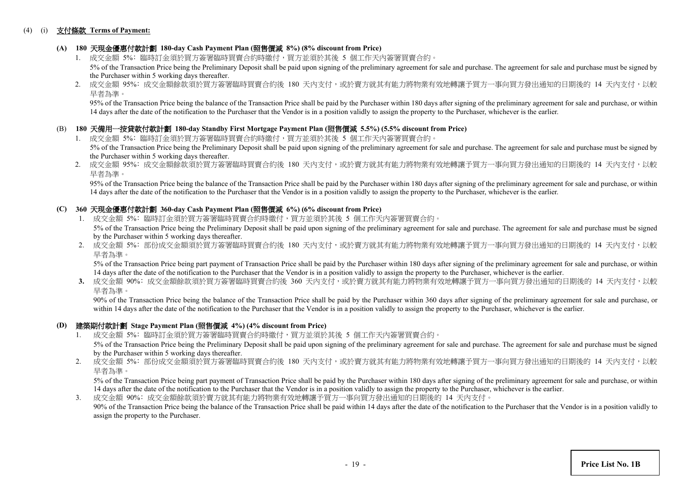#### (4) (i) 支付條款 **Terms of Payment:**

# **(A) 180** 天現金優惠付款計劃 **180-day Cash Payment Plan (**照售價減 **8%) (8% discount from Price)**

- 1. 成交金額 5%: 臨時訂金須於買方簽署臨時買賣合約時繳付,買方並須於其後 5 個工作天内簽署買賣合約。 5% of the Transaction Price being the Preliminary Deposit shall be paid upon signing of the preliminary agreement for sale and purchase. The agreement for sale and purchase must be signed by the Purchaser within 5 working days thereafter.
- 2. 成交金額 95%: 成交金額餘款須於買方簽署臨時買賣合約後 180 天內支付,或於賣方就其有能力將物業有效地轉讓予買方一事向買方發出通知的日期後的 14 天内支付,以較 早者為準。

95% of the Transaction Price being the balance of the Transaction Price shall be paid by the Purchaser within 180 days after signing of the preliminary agreement for sale and purchase, or within 14 days after the date of the notification to the Purchaser that the Vendor is in a position validly to assign the property to the Purchaser, whichever is the earlier.

#### (B) **180** 天備用一按貸款付款計劃 **180-day Standby First Mortgage Payment Plan (**照售價減 **5.5%) (5.5% discount from Price)**

- 1. 成交金額 5%: 臨時訂金須於買方簽署臨時買賣合約時繳付,買方並須於其後 5 個工作天內簽署買賣合約。 5% of the Transaction Price being the Preliminary Deposit shall be paid upon signing of the preliminary agreement for sale and purchase. The agreement for sale and purchase must be signed by the Purchaser within 5 working days thereafter.
- 2. 成交金額 95%: 成交金額餘款須於買方簽署臨時買賣合約後 180 天內支付,或於賣方就其有能力將物業有效地轉讓予買方一事向買方發出通知的日期後的 14 天内支付,以較 早者為準。

 95% of the Transaction Price being the balance of the Transaction Price shall be paid by the Purchaser within 180 days after signing of the preliminary agreement for sale and purchase, or within 14 days after the date of the notification to the Purchaser that the Vendor is in a position validly to assign the property to the Purchaser, whichever is the earlier.

# **(C) 360** 天現金優惠付款計劃 **360-day Cash Payment Plan (**照售價減 **6%) (6% discount from Price)**

- 1. 成交金額 5%: 臨時訂金須於買方簽署臨時買賣合約時繳付,買方並須於其後 5 個工作天內簽署買賣合約。 5% of the Transaction Price being the Preliminary Deposit shall be paid upon signing of the preliminary agreement for sale and purchase. The agreement for sale and purchase must be signed by the Purchaser within 5 working days thereafter.
- 2. 成交金額 5%: 部份成交金額須於買方簽署臨時買賣合約後 180 天內支付,或於賣方就其有能力將物業有效地轉讓予買方一事向買方發出通知的日期後的 14 天內支付,以較 早者為準。

5% of the Transaction Price being part payment of Transaction Price shall be paid by the Purchaser within 180 days after signing of the preliminary agreement for sale and purchase, or within 14 days after the date of the notification to the Purchaser that the Vendor is in a position validly to assign the property to the Purchaser, whichever is the earlier.

3. 成交金額 90%: 成交金額餘款須於買方簽署臨時買賣合約後 360 天内支付,或於賣方就其有能力將物業有效地轉讓予買方一事向買方發出通知的日期後的 14 天内支付,以較 早者為準。

90% of the Transaction Price being the balance of the Transaction Price shall be paid by the Purchaser within 360 days after signing of the preliminary agreement for sale and purchase, or within 14 days after the date of the notification to the Purchaser that the Vendor is in a position validly to assign the property to the Purchaser, whichever is the earlier.

#### **(D)** 建築期付款計劃 **Stage Payment Plan (**照售價減 **4%) (4% discount from Price)**

- 1. 成交金額 5%﹕臨時訂金須於買方簽署臨時買賣合約時繳付,買方並須於其後 5 個工作天內簽署買賣合約。 5% of the Transaction Price being the Preliminary Deposit shall be paid upon signing of the preliminary agreement for sale and purchase. The agreement for sale and purchase must be signed by the Purchaser within 5 working days thereafter.
- 2. 成交金額 5%: 部份成交金額須於買方簽署臨時買賣合約後 180 天內支付,或於賣方就其有能力將物業有效地轉讓予買方一事向買方發出通知的日期後的 14 天内支付,以較 早者為準。

5% of the Transaction Price being part payment of Transaction Price shall be paid by the Purchaser within 180 days after signing of the preliminary agreement for sale and purchase, or within 14 days after the date of the notification to the Purchaser that the Vendor is in a position validly to assign the property to the Purchaser, whichever is the earlier.

3. 成交金額 90%﹕成交金額餘款須於賣方就其有能力將物業有效地轉讓予買方一事向買方發出通知的日期後的 14 天內支付。 90% of the Transaction Price being the balance of the Transaction Price shall be paid within 14 days after the date of the notification to the Purchaser that the Vendor is in a position validly to assign the property to the Purchaser.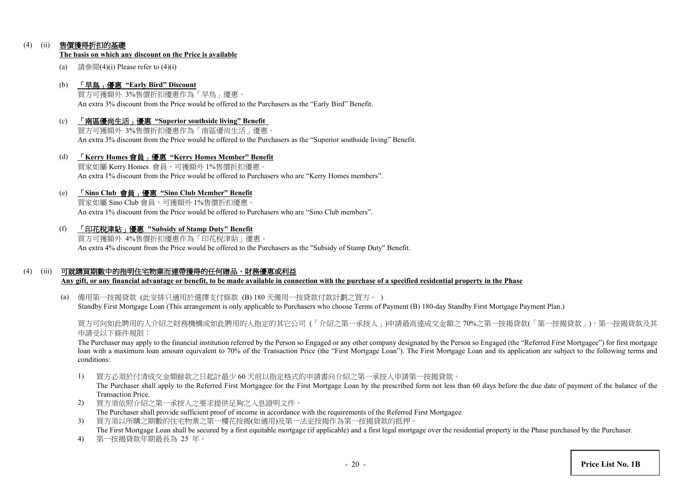# (4) (ii) 售價獲得折扣的基礎

#### **The basis on which any discount on the Price is available**

(a) 請參閱(4)(i) Please refer to  $(4)$ (i)

#### (b) 「早鳥」優惠 **"Early Bird" Discount**

買方可獲額外 3%售價折扣優惠作為「早鳥」優惠。 An extra 3% discount from the Price would be offered to the Purchasers as the "Early Bird" Benefit.

(c) 「南區優尚生活」優惠 **"Superior southside living" Benefit** 買方可獲額外 3%售價折扣優惠作為「南區優尚生活」優惠。

An extra 3% discount from the Price would be offered to the Purchasers as the "Superior southside living" Benefit.

(d) 「**Kerry Homes** 會員」優惠 **"Kerry Homes Member" Benefit** 買家如屬 Kerry Homes 會員,可獲額外 1%售價折扣優惠。 An extra 1% discount from the Price would be offered to Purchasers who are "Kerry Homes members".

#### (e) 「**Sino Club** 會員」優惠 **"Sino Club Member" Benefit**

買家如屬 Sino Club 會員,可獲額外 1%售價折扣優惠。 An extra 1% discount from the Price would be offered to Purchasers who are "Sino Club members".

(f) 「印花稅津貼」優惠 **"Subsidy of Stamp Duty" Benefit**

買方可獲額外 4%售價折扣優惠作為「印花稅津貼」優惠。 An extra 4% discount from the Price would be offered to the Purchasers as the "Subsidy of Stamp Duty" Benefit.

# (4) (iii) 可就購買期數中的指明住宅物業而連帶獲得的任何贈品、財務優惠或利益

**Any gift, or any financial advantage or benefit, to be made available in connection with the purchase of a specified residential property in the Phase**

(a) 備用第一按揭貸款 (此安排只適用於選擇支付條款 (B) 180 天備用一按貸款付款計劃之買方。 ) Standby First Mortgage Loan (This arrangement is only applicable to Purchasers who choose Terms of Payment (B) 180-day Standby First Mortgage Payment Plan.)

買方可向如此聘用的人介紹之財務機構或如此聘用的人指定的其它公司 (「介紹之第一承按人」)申請最高達成交金額之 70%之第一按揭貸款(「第一按揭貸款」)。第一按揭貸款及其 申請受以下條件規限:

The Purchaser may apply to the financial institution referred by the Person so Engaged or any other company designated by the Person so Engaged (the "Referred First Mortgagee") for first mortgage loan with a maximum loan amount equivalent to 70% of the Transaction Price (the "First Mortgage Loan"). The First Mortgage Loan and its application are subject to the following terms and conditions:

1) 買方必須於付清成交金額餘款之日起計最少 60 天前以指定格式的申請書向介紹之第一承按人申請第一按揭貸款。

The Purchaser shall apply to the Referred First Mortgagee for the First Mortgage Loan by the prescribed form not less than 60 days before the due date of payment of the balance of the Transaction Price.

- 2) 買方須依照介紹之第一承按人之要求提供足夠之入息證明文件。 The Purchaser shall provide sufficient proof of income in accordance with the requirements of the Referred First Mortgagee.
- 3) 買方須以所購之期數的住宅物業之第一樓花按揭(如適用)及第一法定按揭作為第一按揭貸款的抵押。 The First Mortgage Loan shall be secured by a first equitable mortgage (if applicable) and a first legal mortgage over the residential property in the Phase purchased by the Purchaser.
- 4) 第一按揭貸款年期最長為 25 年。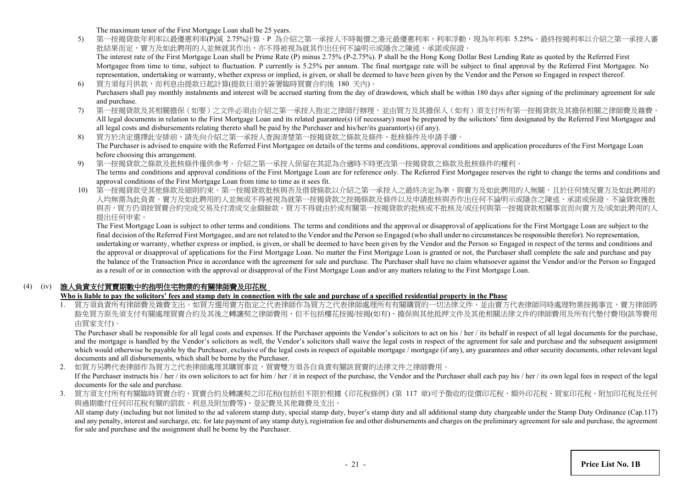The maximum tenor of the First Mortgage Loan shall be 25 years.

- 5) 第一按揭貸款年利率以最優惠利率(P)減 2.75%計算。P 為介紹之第一承按人不時報價之港元最優惠利率,利率浮動,現為年利率 5.25%。最終按揭利率以介紹之第一承按人審 批結果而定,賣方及如此聘用的人並無就其作出,亦不得被視為就其作出任何不論明示或隱含之陳述、承諾或保證。 The interest rate of the First Mortgage Loan shall be Prime Rate (P) minus 2.75% (P-2.75%). P shall be the Hong Kong Dollar Best Lending Rate as quoted by the Referred First Mortgagee from time to time, subject to fluctuation. P currently is 5.25% per annum. The final mortgage rate will be subject to final approval by the Referred First Mortgagee. No representation, undertaking or warranty, whether express or implied, is given, or shall be deemed to have been given by the Vendor and the Person so Engaged in respect thereof.
- 6) 買方須每月供款,而利息由提款日起計算(提款日須於簽署臨時買賣合約後 180 天內)。 Purchasers shall pay monthly instalments and interest will be accrued starting from the day of drawdown, which shall be within 180 days after signing of the preliminary agreement for sale and purchase.
- 7) 第一按揭貸款及其相關擔保(如要)之文件必須由介紹之第一承按人指定之律師行辦理,並由買方及其擔保人(如有)須支付所有第一按揭貸款及其擔保相關之律師費及雜費。 All legal documents in relation to the First Mortgage Loan and its related guarantee(s) (if necessary) must be prepared by the solicitors' firm designated by the Referred First Mortgagee and all legal costs and disbursements relating thereto shall be paid by the Purchaser and his/her/its guarantor(s) (if any).
- 8) 買方於決定選擇此安排前,請先向介紹之第一承按人查詢清楚第一按揭貸款之條款及條件、批核條件及申請手續。 The Purchaser is advised to enquire with the Referred First Mortgagee on details of the terms and conditions, approval conditions and application procedures of the First Mortgage Loan before choosing this arrangement.
- 9) 第一按揭貸款之條款及批核條件僅供參考。介紹之第一承按人保留在其認為合適時不時更改第一按揭貸款之條款及批核條件的權利。 The terms and conditions and approval conditions of the First Mortgage Loan are for reference only. The Referred First Mortgagee reserves the right to change the terms and conditions and approval conditions of the First Mortgage Loan from time to time as it sees fit.
- 10) 第一按揭貸款受其他條款及細則約束。第一按揭貸款批核與否及借貸條款以介紹之第一承按人之最終決定為準,與賣方及如此聘用的人無關,且於任何情況賣方及如此聘用的 人均無需為此負責。賣方及如此聘用的人並無或不得被視為就第一按揭貸款之按揭條款及條件以及申請批核與否作出任何不論明示或隱含之陳述、承諾或保證。不論貸款獲批 與否,買方仍須按買賣合約完成交易及付清成交金額餘款。買方不得就由於或有關第一按揭貸款的批核或不批核及/或任何與第一按揭貸款相關事宜而向賣方及/或如此聘用的人 提出任何申索。

The First Mortgage Loan is subject to other terms and conditions. The terms and conditions and the approval or disapproval of applications for the First Mortgage Loan are subject to the final decision of the Referred First Mortgagee, and are not related to the Vendor and the Person so Engaged (who shall under no circumstances be responsible therefor). No representation, undertaking or warranty, whether express or implied, is given, or shall be deemed to have been given by the Vendor and the Person so Engaged in respect of the terms and conditions and the approval or disapproval of applications for the First Mortgage Loan. No matter the First Mortgage Loan is granted or not, the Purchaser shall complete the sale and purchase and pay the balance of the Transaction Price in accordance with the agreement for sale and purchase. The Purchaser shall have no claim whatsoever against the Vendor and/or the Person so Engaged as a result of or in connection with the approval or disapproval of the First Mortgage Loan and/or any matters relating to the First Mortgage Loan.

# (4) (iv) 誰人負責支付買賣期數中的指明住宅物業的有關律師費及印花稅

# **Who is liable to pay the solicitors' fees and stamp duty in connection with the sale and purchase of a specified residential property in the Phase**

1. 買方須負責所有律師費及雜費支出。如買方選用賣方指定之代表律師作為買方之代表律師處理所有有關購買的一切法律文件,並由賣方代表律師同時處理物業按揭事宜,賣方律師將 豁免買方原先須支付有關處理買賣合約及其後之轉讓契之律師費用,但不包括樓花按揭/按揭(如有)、擔保與其他抵押文件及其他相關法律文件的律師費用及所有代墊付費用(該等費用 由買家支付)。

The Purchaser shall be responsible for all legal costs and expenses. If the Purchaser appoints the Vendor's solicitors to act on his / her / its behalf in respect of all legal documents for the purchase, and the mortgage is handled by the Vendor's solicitors as well, the Vendor's solicitors shall waive the legal costs in respect of the agreement for sale and purchase and the subsequent assignment which would otherwise be payable by the Purchaser, exclusive of the legal costs in respect of equitable mortgage / mortgage (if any), any guarantees and other security documents, other relevant legal documents and all disbursements, which shall be borne by the Purchaser.

2. 如買方另聘代表律師作為買方之代表律師處理其購買事宜,買賣雙方須各自負責有關該買賣的法律文件之律師費用。 If the Purchaser instructs his / her / its own solicitors to act for him / her / it in respect of the purchase, the Vendor and the Purchaser shall each pay his / her / its own legal fees in respect of the legal documents for the sale and purchase.

3. 買方須支付所有有關臨時買賣合約、買賣合約及轉讓契之印花稅(包括但不限於根據《印花稅條例》(第 117 章)可予徵收的從價印花稅、額外印花稅、買家印花稅、附加印花稅及任何 與過期繳付任何印花稅有關的罰款、利息及附加費等)、登記費及其他雜費及支出。

All stamp duty (including but not limited to the ad valorem stamp duty, special stamp duty, buyer's stamp duty and all additional stamp duty chargeable under the Stamp Duty Ordinance (Cap.117) and any penalty, interest and surcharge, etc. for late payment of any stamp duty), registration fee and other disbursements and charges on the preliminary agreement for sale and purchase, the agreement for sale and purchase and the assignment shall be borne by the Purchaser.